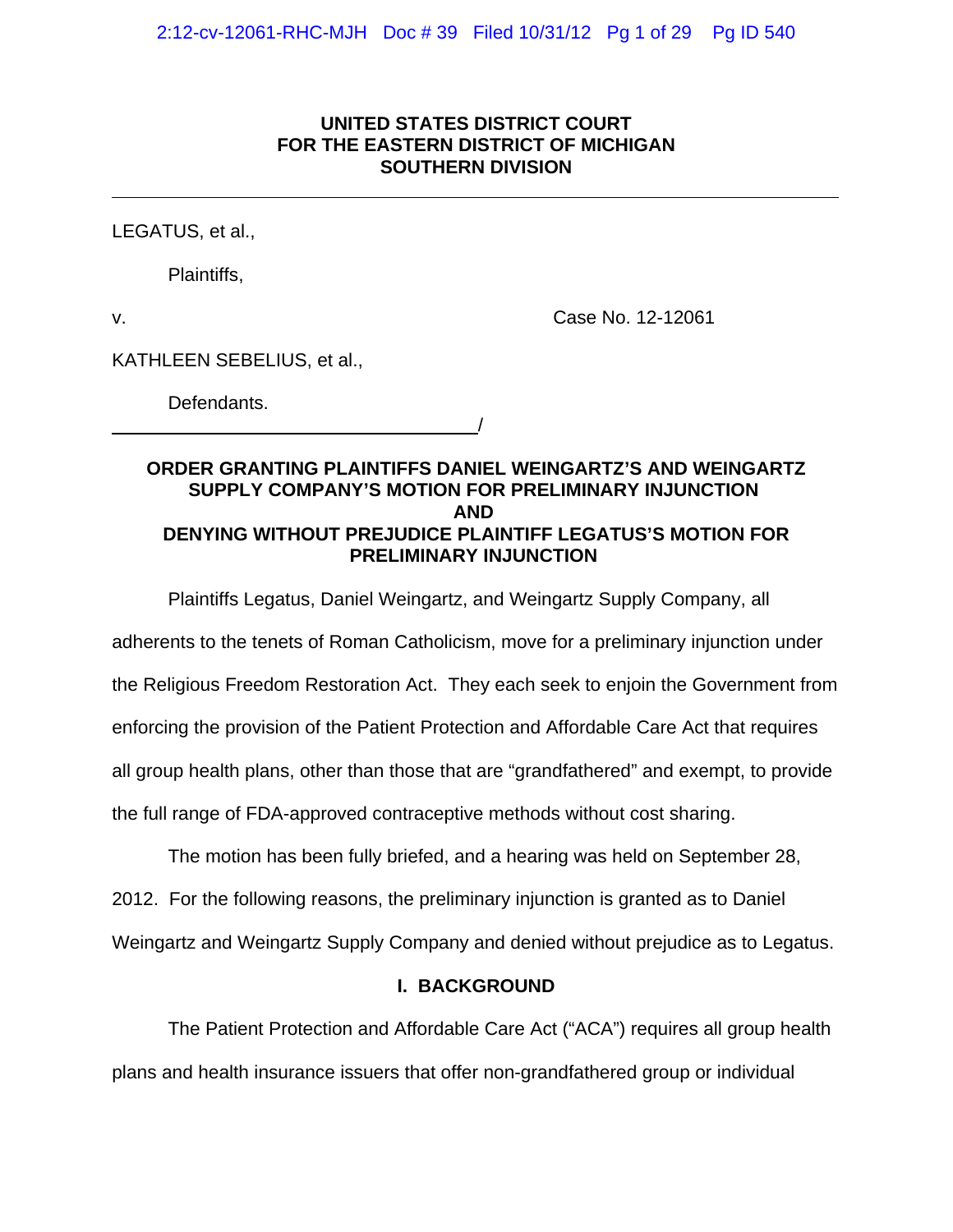# **UNITED STATES DISTRICT COURT FOR THE EASTERN DISTRICT OF MICHIGAN SOUTHERN DIVISION**

LEGATUS, et al.,

Plaintiffs,

 $\overline{a}$ 

v. Case No. 12-12061

KATHLEEN SEBELIUS, et al.,

Defendants.

<u>/</u>

## **ORDER GRANTING PLAINTIFFS DANIEL WEINGARTZ'S AND WEINGARTZ SUPPLY COMPANY'S MOTION FOR PRELIMINARY INJUNCTION AND DENYING WITHOUT PREJUDICE PLAINTIFF LEGATUS'S MOTION FOR PRELIMINARY INJUNCTION**

Plaintiffs Legatus, Daniel Weingartz, and Weingartz Supply Company, all

adherents to the tenets of Roman Catholicism, move for a preliminary injunction under

the Religious Freedom Restoration Act. They each seek to enjoin the Government from

enforcing the provision of the Patient Protection and Affordable Care Act that requires

all group health plans, other than those that are "grandfathered" and exempt, to provide

the full range of FDA-approved contraceptive methods without cost sharing.

The motion has been fully briefed, and a hearing was held on September 28,

2012. For the following reasons, the preliminary injunction is granted as to Daniel

Weingartz and Weingartz Supply Company and denied without prejudice as to Legatus.

# **I. BACKGROUND**

The Patient Protection and Affordable Care Act ("ACA") requires all group health plans and health insurance issuers that offer non-grandfathered group or individual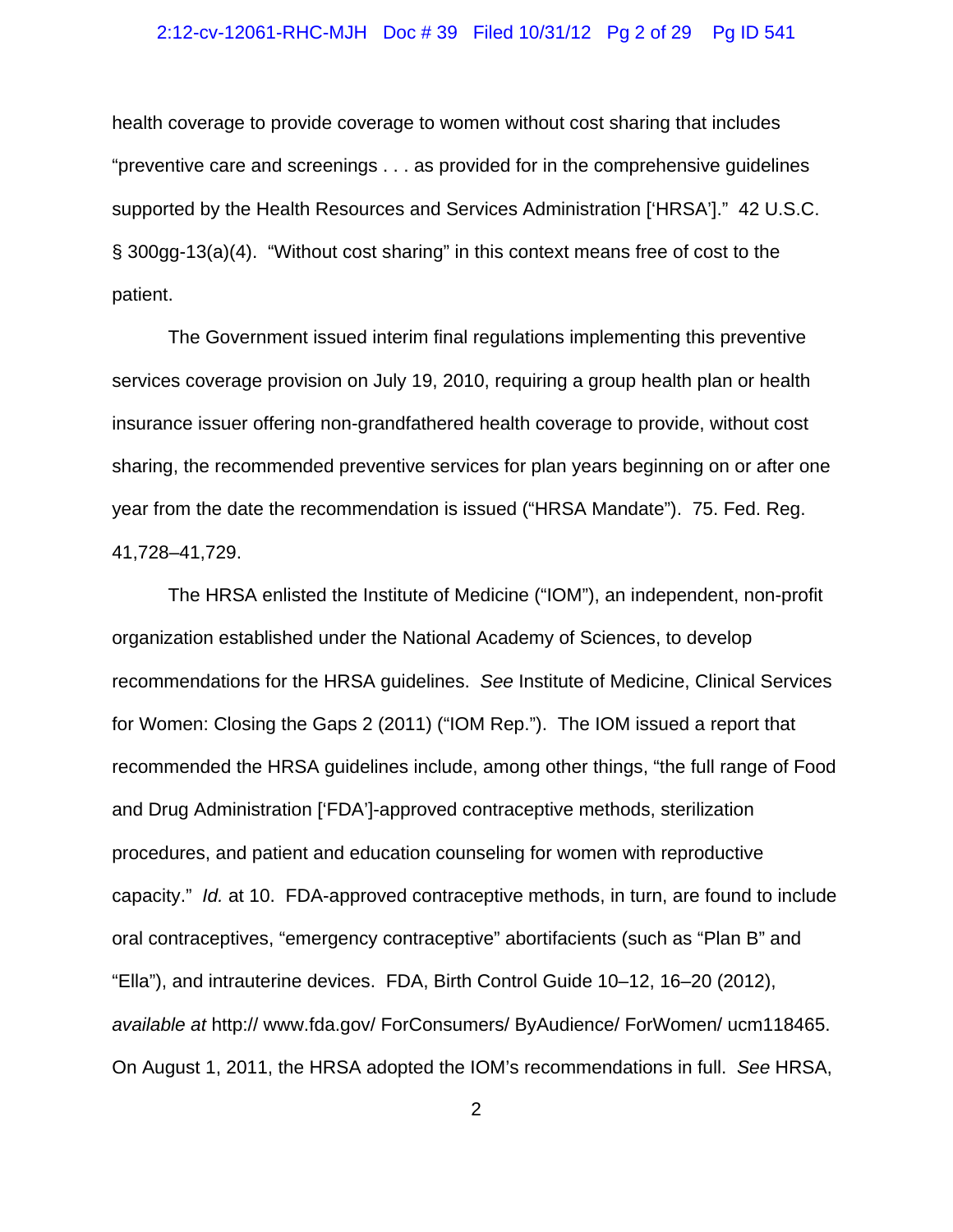#### 2:12-cv-12061-RHC-MJH Doc # 39 Filed 10/31/12 Pg 2 of 29 Pg ID 541

health coverage to provide coverage to women without cost sharing that includes "preventive care and screenings . . . as provided for in the comprehensive guidelines supported by the Health Resources and Services Administration ['HRSA']." 42 U.S.C. § 300gg-13(a)(4). "Without cost sharing" in this context means free of cost to the patient.

The Government issued interim final regulations implementing this preventive services coverage provision on July 19, 2010, requiring a group health plan or health insurance issuer offering non-grandfathered health coverage to provide, without cost sharing, the recommended preventive services for plan years beginning on or after one year from the date the recommendation is issued ("HRSA Mandate"). 75. Fed. Reg. 41,728–41,729.

The HRSA enlisted the Institute of Medicine ("IOM"), an independent, non-profit organization established under the National Academy of Sciences, to develop recommendations for the HRSA guidelines. *See* Institute of Medicine, Clinical Services for Women: Closing the Gaps 2 (2011) ("IOM Rep."). The IOM issued a report that recommended the HRSA guidelines include, among other things, "the full range of Food and Drug Administration ['FDA']-approved contraceptive methods, sterilization procedures, and patient and education counseling for women with reproductive capacity." *Id.* at 10. FDA-approved contraceptive methods, in turn, are found to include oral contraceptives, "emergency contraceptive" abortifacients (such as "Plan B" and "Ella"), and intrauterine devices. FDA, Birth Control Guide 10–12, 16–20 (2012), *available at* http:// www.fda.gov/ ForConsumers/ ByAudience/ ForWomen/ ucm118465. On August 1, 2011, the HRSA adopted the IOM's recommendations in full. *See* HRSA,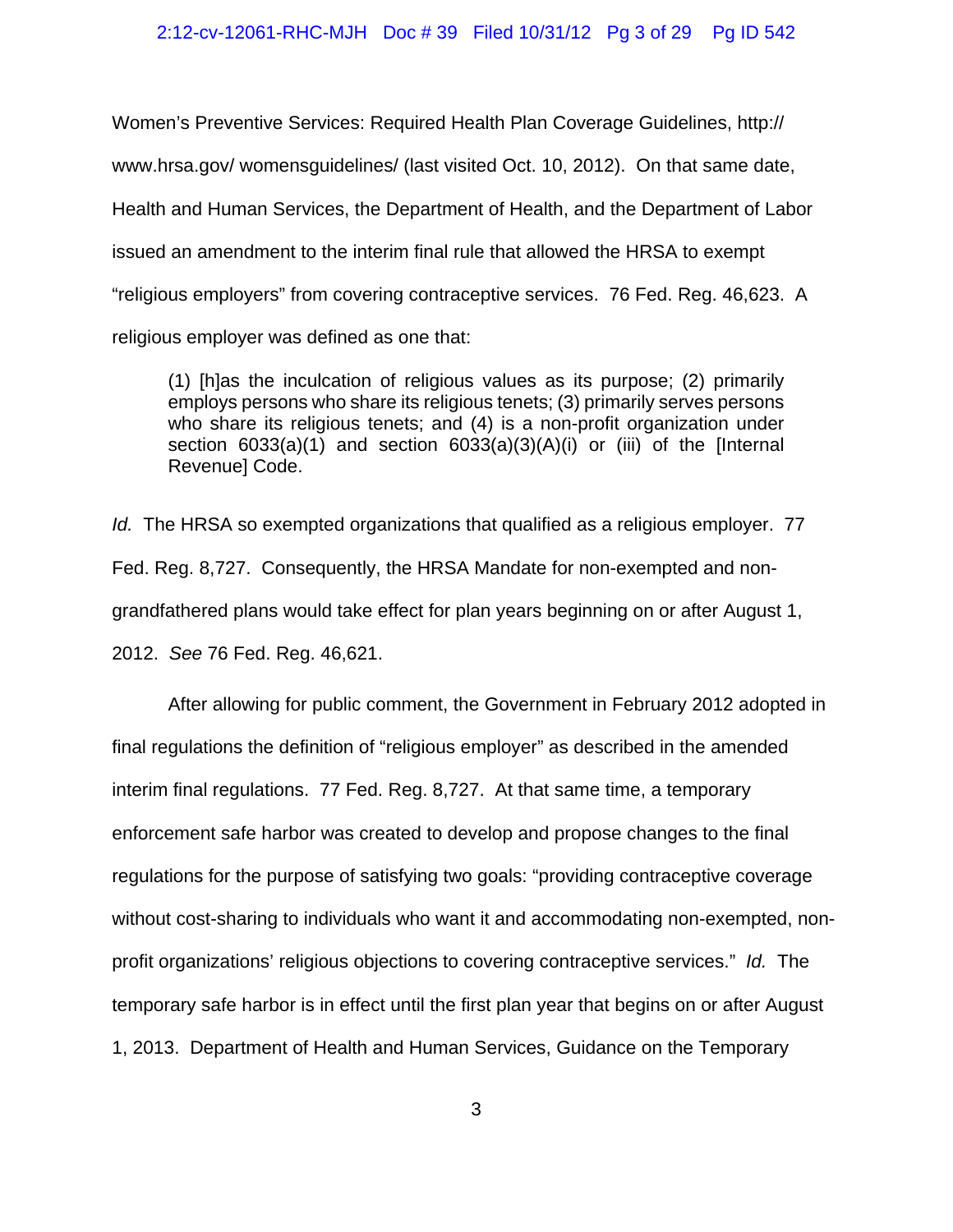### 2:12-cv-12061-RHC-MJH Doc # 39 Filed 10/31/12 Pg 3 of 29 Pg ID 542

Women's Preventive Services: Required Health Plan Coverage Guidelines, http:// www.hrsa.gov/ womensguidelines/ (last visited Oct. 10, 2012). On that same date, Health and Human Services, the Department of Health, and the Department of Labor issued an amendment to the interim final rule that allowed the HRSA to exempt "religious employers" from covering contraceptive services. 76 Fed. Reg. 46,623. A religious employer was defined as one that:

(1) [h]as the inculcation of religious values as its purpose; (2) primarily employs persons who share its religious tenets; (3) primarily serves persons who share its religious tenets; and (4) is a non-profit organization under section 6033(a)(1) and section 6033(a)(3)(A)(i) or (iii) of the [Internal Revenue] Code.

*Id.* The HRSA so exempted organizations that qualified as a religious employer. 77 Fed. Reg. 8,727. Consequently, the HRSA Mandate for non-exempted and nongrandfathered plans would take effect for plan years beginning on or after August 1, 2012. *See* 76 Fed. Reg. 46,621.

After allowing for public comment, the Government in February 2012 adopted in final regulations the definition of "religious employer" as described in the amended interim final regulations. 77 Fed. Reg. 8,727. At that same time, a temporary enforcement safe harbor was created to develop and propose changes to the final regulations for the purpose of satisfying two goals: "providing contraceptive coverage without cost-sharing to individuals who want it and accommodating non-exempted, nonprofit organizations' religious objections to covering contraceptive services." *Id.* The temporary safe harbor is in effect until the first plan year that begins on or after August 1, 2013. Department of Health and Human Services, Guidance on the Temporary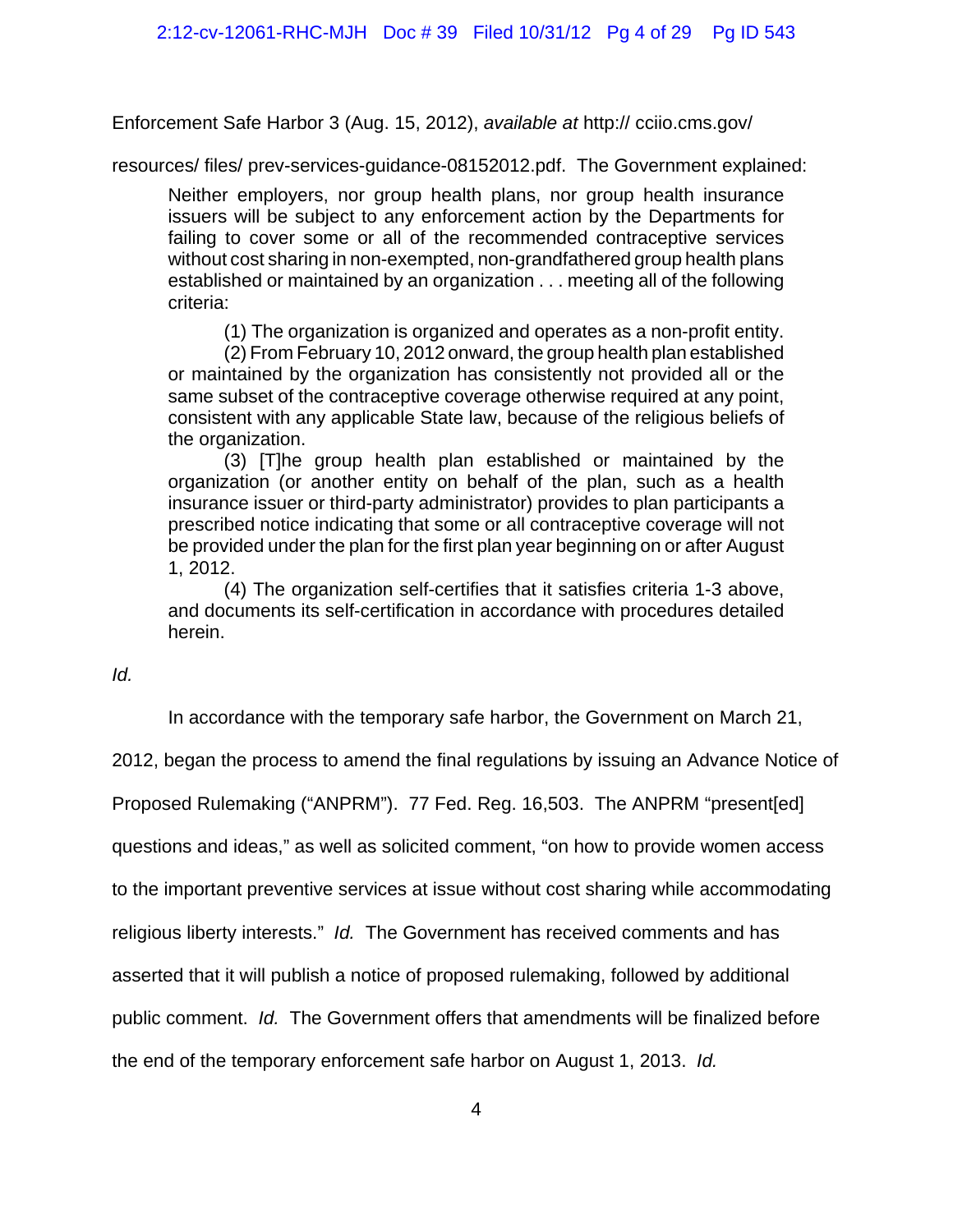Enforcement Safe Harbor 3 (Aug. 15, 2012), *available at* http:// cciio.cms.gov/

resources/ files/ prev-services-guidance-08152012.pdf. The Government explained:

Neither employers, nor group health plans, nor group health insurance issuers will be subject to any enforcement action by the Departments for failing to cover some or all of the recommended contraceptive services without cost sharing in non-exempted, non-grandfathered group health plans established or maintained by an organization . . . meeting all of the following criteria:

(1) The organization is organized and operates as a non-profit entity.

(2) From February 10, 2012 onward, the group health plan established or maintained by the organization has consistently not provided all or the same subset of the contraceptive coverage otherwise required at any point, consistent with any applicable State law, because of the religious beliefs of the organization.

(3) [T]he group health plan established or maintained by the organization (or another entity on behalf of the plan, such as a health insurance issuer or third-party administrator) provides to plan participants a prescribed notice indicating that some or all contraceptive coverage will not be provided under the plan for the first plan year beginning on or after August 1, 2012.

(4) The organization self-certifies that it satisfies criteria 1-3 above, and documents its self-certification in accordance with procedures detailed herein.

*Id.*

In accordance with the temporary safe harbor, the Government on March 21,

2012, began the process to amend the final regulations by issuing an Advance Notice of

Proposed Rulemaking ("ANPRM"). 77 Fed. Reg. 16,503. The ANPRM "present[ed]

questions and ideas," as well as solicited comment, "on how to provide women access

to the important preventive services at issue without cost sharing while accommodating

religious liberty interests." *Id.* The Government has received comments and has

asserted that it will publish a notice of proposed rulemaking, followed by additional

public comment. *Id.* The Government offers that amendments will be finalized before

the end of the temporary enforcement safe harbor on August 1, 2013. *Id.*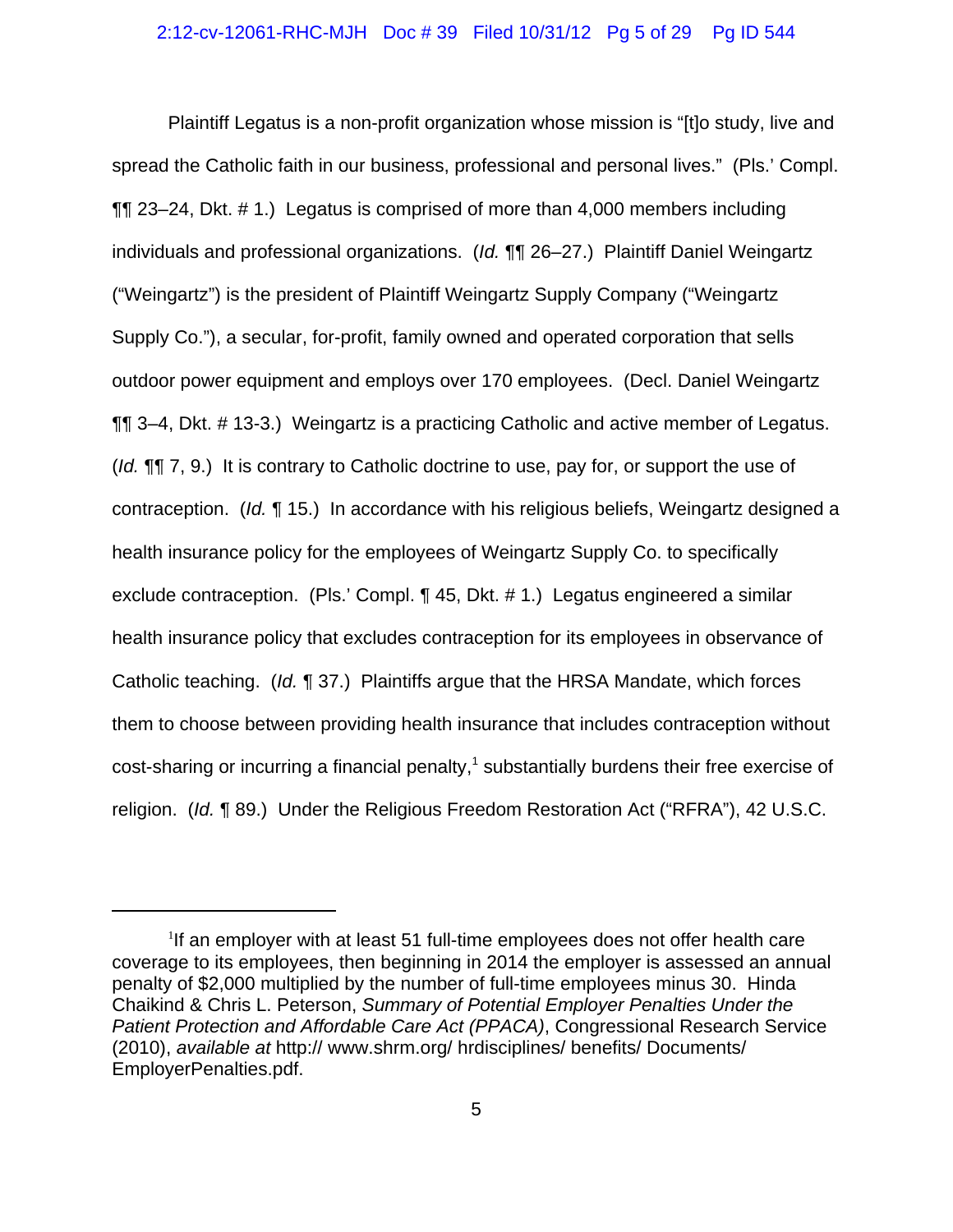Plaintiff Legatus is a non-profit organization whose mission is "[t]o study, live and spread the Catholic faith in our business, professional and personal lives." (Pls.' Compl. ¶¶ 23–24, Dkt. # 1.) Legatus is comprised of more than 4,000 members including individuals and professional organizations. (*Id.* ¶¶ 26–27.) Plaintiff Daniel Weingartz ("Weingartz") is the president of Plaintiff Weingartz Supply Company ("Weingartz Supply Co."), a secular, for-profit, family owned and operated corporation that sells outdoor power equipment and employs over 170 employees. (Decl. Daniel Weingartz ¶¶ 3–4, Dkt. # 13-3.) Weingartz is a practicing Catholic and active member of Legatus. (*Id.* ¶¶ 7, 9.) It is contrary to Catholic doctrine to use, pay for, or support the use of contraception. (*Id.* ¶ 15.) In accordance with his religious beliefs, Weingartz designed a health insurance policy for the employees of Weingartz Supply Co. to specifically exclude contraception. (Pls.' Compl. ¶ 45, Dkt. # 1.) Legatus engineered a similar health insurance policy that excludes contraception for its employees in observance of Catholic teaching. (*Id.* ¶ 37.) Plaintiffs argue that the HRSA Mandate, which forces them to choose between providing health insurance that includes contraception without  $\text{cost-sharing}$  or incurring a financial penalty,<sup>1</sup> substantially burdens their free exercise of religion. (*Id.* ¶ 89.) Under the Religious Freedom Restoration Act ("RFRA"), 42 U.S.C.

<sup>&</sup>lt;sup>1</sup>If an employer with at least 51 full-time employees does not offer health care coverage to its employees, then beginning in 2014 the employer is assessed an annual penalty of \$2,000 multiplied by the number of full-time employees minus 30. Hinda Chaikind & Chris L. Peterson, *Summary of Potential Employer Penalties Under the Patient Protection and Affordable Care Act (PPACA)*, Congressional Research Service (2010), *available at* http:// www.shrm.org/ hrdisciplines/ benefits/ Documents/ EmployerPenalties.pdf.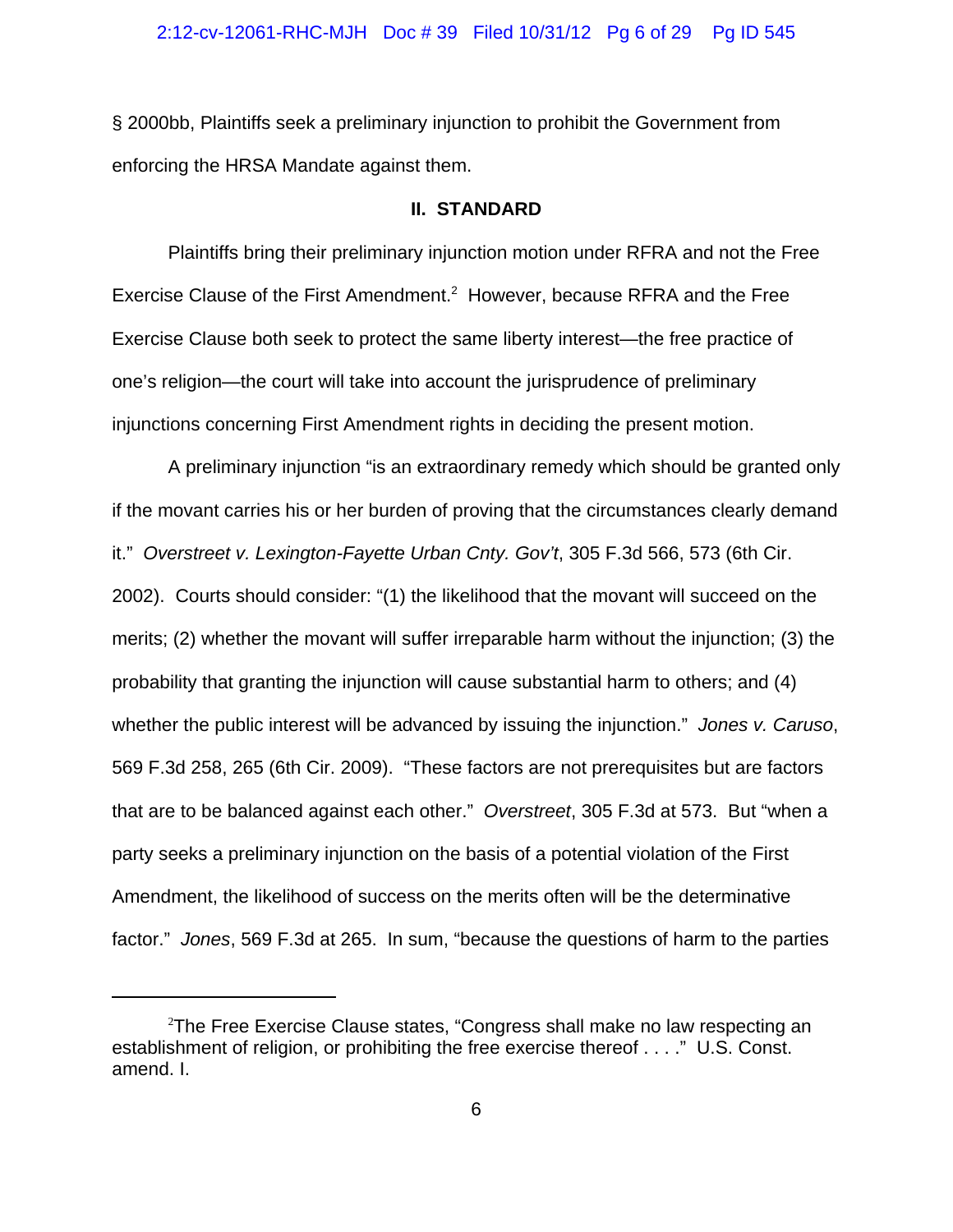#### 2:12-cv-12061-RHC-MJH Doc # 39 Filed 10/31/12 Pg 6 of 29 Pg ID 545

§ 2000bb, Plaintiffs seek a preliminary injunction to prohibit the Government from enforcing the HRSA Mandate against them.

## **II. STANDARD**

Plaintiffs bring their preliminary injunction motion under RFRA and not the Free Exercise Clause of the First Amendment.<sup>2</sup> However, because RFRA and the Free Exercise Clause both seek to protect the same liberty interest—the free practice of one's religion—the court will take into account the jurisprudence of preliminary injunctions concerning First Amendment rights in deciding the present motion.

A preliminary injunction "is an extraordinary remedy which should be granted only if the movant carries his or her burden of proving that the circumstances clearly demand it." *Overstreet v. Lexington-Fayette Urban Cnty. Gov't*, 305 F.3d 566, 573 (6th Cir. 2002). Courts should consider: "(1) the likelihood that the movant will succeed on the merits; (2) whether the movant will suffer irreparable harm without the injunction; (3) the probability that granting the injunction will cause substantial harm to others; and (4) whether the public interest will be advanced by issuing the injunction." *Jones v. Caruso*, 569 F.3d 258, 265 (6th Cir. 2009). "These factors are not prerequisites but are factors that are to be balanced against each other." *Overstreet*, 305 F.3d at 573. But "when a party seeks a preliminary injunction on the basis of a potential violation of the First Amendment, the likelihood of success on the merits often will be the determinative factor." *Jones*, 569 F.3d at 265. In sum, "because the questions of harm to the parties

 $2$ The Free Exercise Clause states, "Congress shall make no law respecting an establishment of religion, or prohibiting the free exercise thereof . . . ." U.S. Const. amend. I.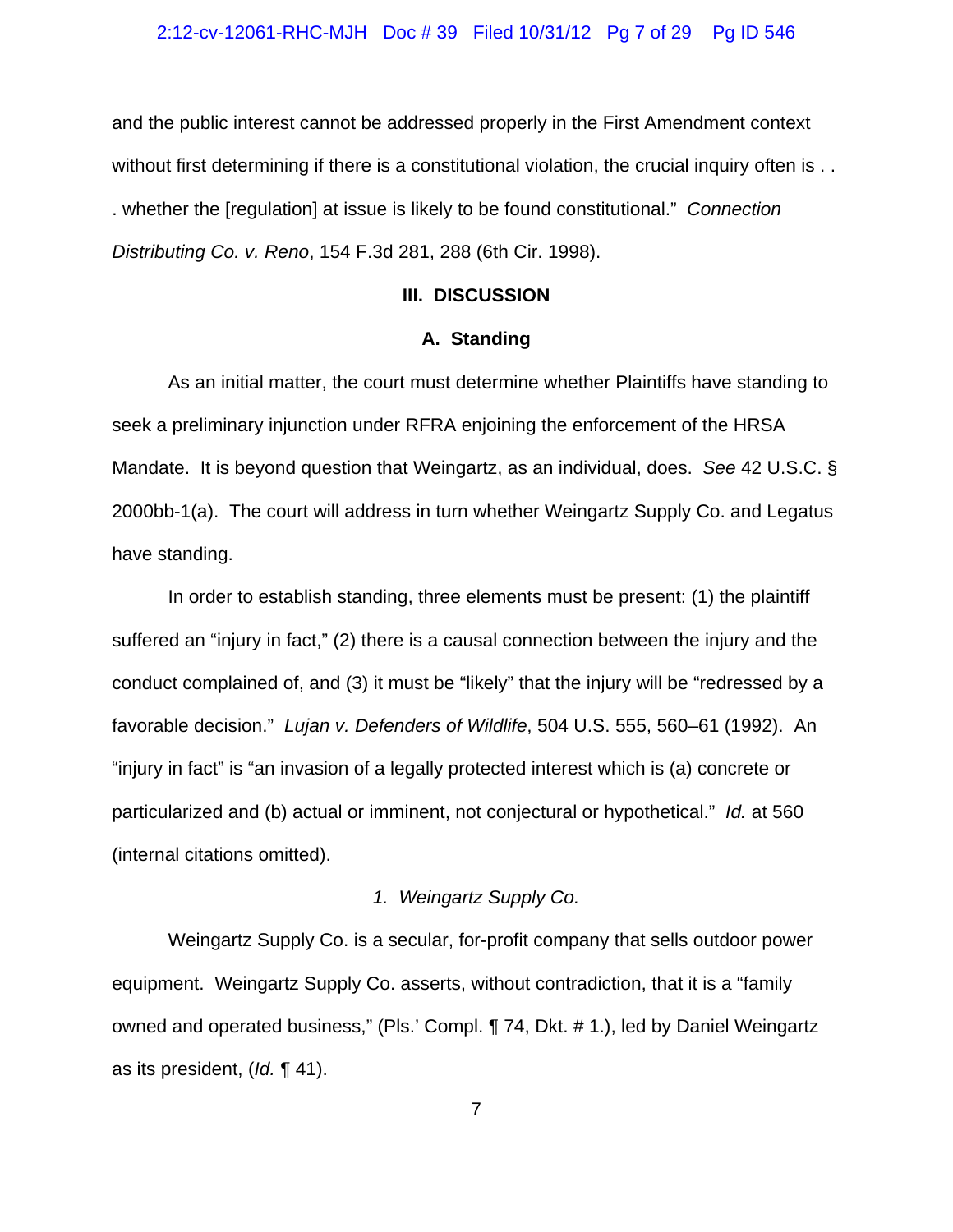#### 2:12-cv-12061-RHC-MJH Doc # 39 Filed 10/31/12 Pg 7 of 29 Pg ID 546

and the public interest cannot be addressed properly in the First Amendment context without first determining if there is a constitutional violation, the crucial inquiry often is . . . whether the [regulation] at issue is likely to be found constitutional." *Connection Distributing Co. v. Reno*, 154 F.3d 281, 288 (6th Cir. 1998).

## **III. DISCUSSION**

## **A. Standing**

As an initial matter, the court must determine whether Plaintiffs have standing to seek a preliminary injunction under RFRA enjoining the enforcement of the HRSA Mandate. It is beyond question that Weingartz, as an individual, does. *See* 42 U.S.C. § 2000bb-1(a). The court will address in turn whether Weingartz Supply Co. and Legatus have standing.

In order to establish standing, three elements must be present: (1) the plaintiff suffered an "injury in fact," (2) there is a causal connection between the injury and the conduct complained of, and (3) it must be "likely" that the injury will be "redressed by a favorable decision." *Lujan v. Defenders of Wildlife*, 504 U.S. 555, 560–61 (1992). An "injury in fact" is "an invasion of a legally protected interest which is (a) concrete or particularized and (b) actual or imminent, not conjectural or hypothetical." *Id.* at 560 (internal citations omitted).

## *1. Weingartz Supply Co.*

Weingartz Supply Co. is a secular, for-profit company that sells outdoor power equipment. Weingartz Supply Co. asserts, without contradiction, that it is a "family owned and operated business," (Pls.' Compl. ¶ 74, Dkt. # 1.), led by Daniel Weingartz as its president, (*Id.* ¶ 41).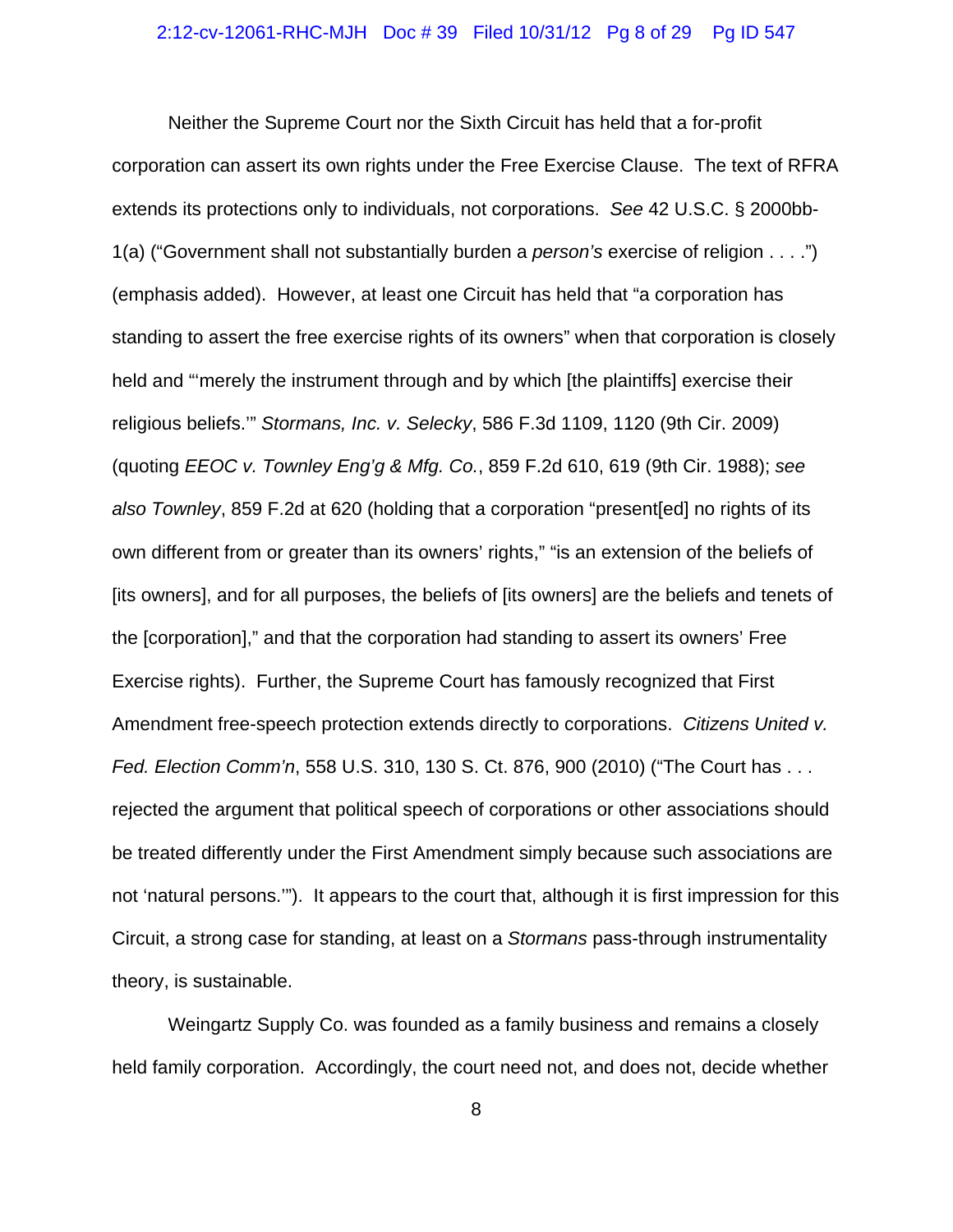#### 2:12-cv-12061-RHC-MJH Doc # 39 Filed 10/31/12 Pg 8 of 29 Pg ID 547

Neither the Supreme Court nor the Sixth Circuit has held that a for-profit corporation can assert its own rights under the Free Exercise Clause. The text of RFRA extends its protections only to individuals, not corporations. *See* 42 U.S.C. § 2000bb-1(a) ("Government shall not substantially burden a *person's* exercise of religion . . . .") (emphasis added). However, at least one Circuit has held that "a corporation has standing to assert the free exercise rights of its owners" when that corporation is closely held and "'merely the instrument through and by which [the plaintiffs] exercise their religious beliefs.'" *Stormans, Inc. v. Selecky*, 586 F.3d 1109, 1120 (9th Cir. 2009) (quoting *EEOC v. Townley Eng'g & Mfg. Co.*, 859 F.2d 610, 619 (9th Cir. 1988); *see also Townley*, 859 F.2d at 620 (holding that a corporation "present[ed] no rights of its own different from or greater than its owners' rights," "is an extension of the beliefs of [its owners], and for all purposes, the beliefs of [its owners] are the beliefs and tenets of the [corporation]," and that the corporation had standing to assert its owners' Free Exercise rights). Further, the Supreme Court has famously recognized that First Amendment free-speech protection extends directly to corporations. *Citizens United v. Fed. Election Comm'n*, 558 U.S. 310, 130 S. Ct. 876, 900 (2010) ("The Court has . . . rejected the argument that political speech of corporations or other associations should be treated differently under the First Amendment simply because such associations are not 'natural persons.'"). It appears to the court that, although it is first impression for this Circuit, a strong case for standing, at least on a *Stormans* pass-through instrumentality theory, is sustainable.

Weingartz Supply Co. was founded as a family business and remains a closely held family corporation. Accordingly, the court need not, and does not, decide whether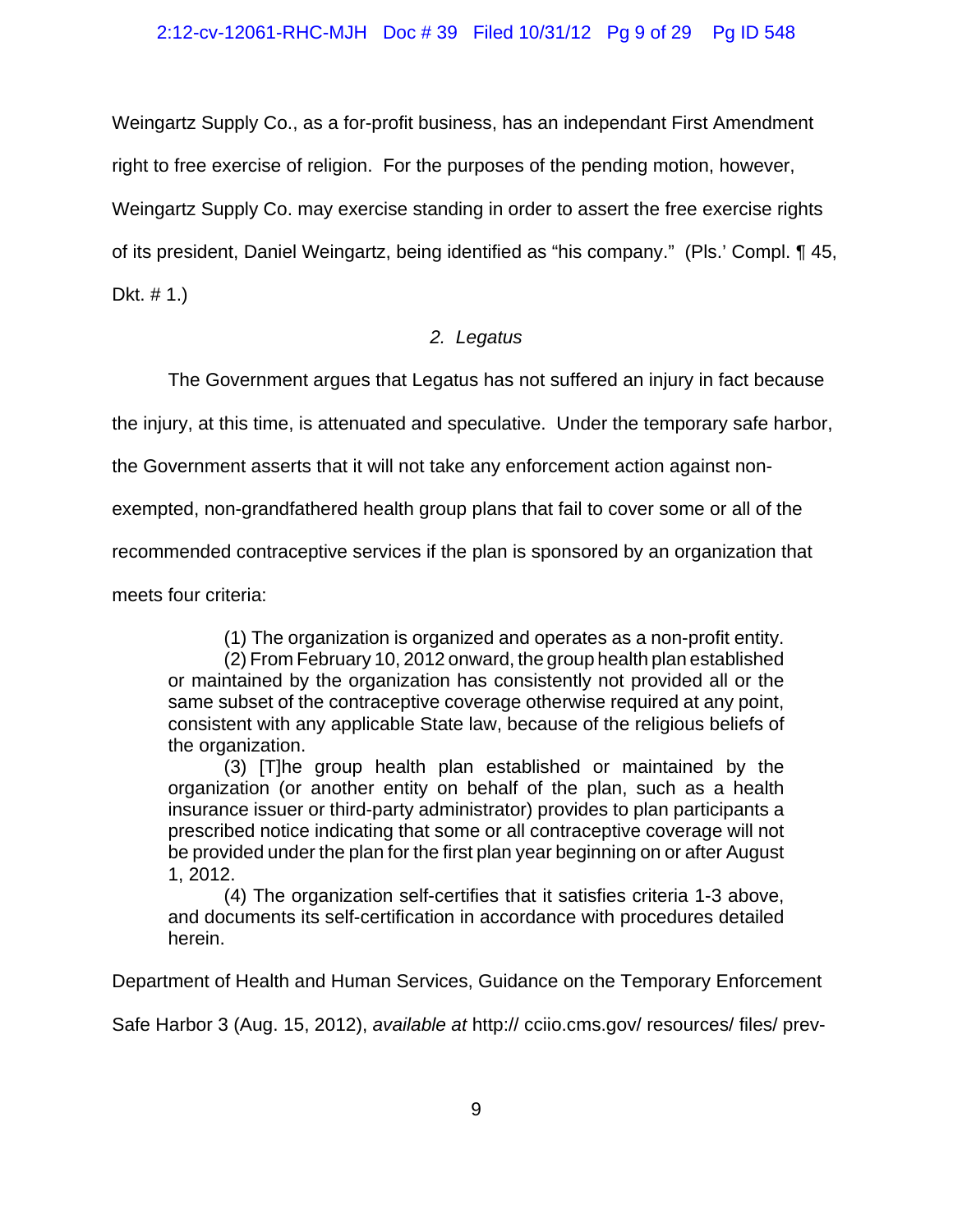Weingartz Supply Co., as a for-profit business, has an independant First Amendment right to free exercise of religion. For the purposes of the pending motion, however, Weingartz Supply Co. may exercise standing in order to assert the free exercise rights of its president, Daniel Weingartz, being identified as "his company." (Pls.' Compl. ¶ 45,

Dkt. # 1.)

## *2. Legatus*

The Government argues that Legatus has not suffered an injury in fact because

the injury, at this time, is attenuated and speculative. Under the temporary safe harbor,

the Government asserts that it will not take any enforcement action against non-

exempted, non-grandfathered health group plans that fail to cover some or all of the

recommended contraceptive services if the plan is sponsored by an organization that

meets four criteria:

(1) The organization is organized and operates as a non-profit entity.

(2) From February 10, 2012 onward, the group health plan established or maintained by the organization has consistently not provided all or the same subset of the contraceptive coverage otherwise required at any point, consistent with any applicable State law, because of the religious beliefs of the organization.

(3) [T]he group health plan established or maintained by the organization (or another entity on behalf of the plan, such as a health insurance issuer or third-party administrator) provides to plan participants a prescribed notice indicating that some or all contraceptive coverage will not be provided under the plan for the first plan year beginning on or after August 1, 2012.

(4) The organization self-certifies that it satisfies criteria 1-3 above, and documents its self-certification in accordance with procedures detailed herein.

Department of Health and Human Services, Guidance on the Temporary Enforcement

Safe Harbor 3 (Aug. 15, 2012), *available at* http:// cciio.cms.gov/ resources/ files/ prev-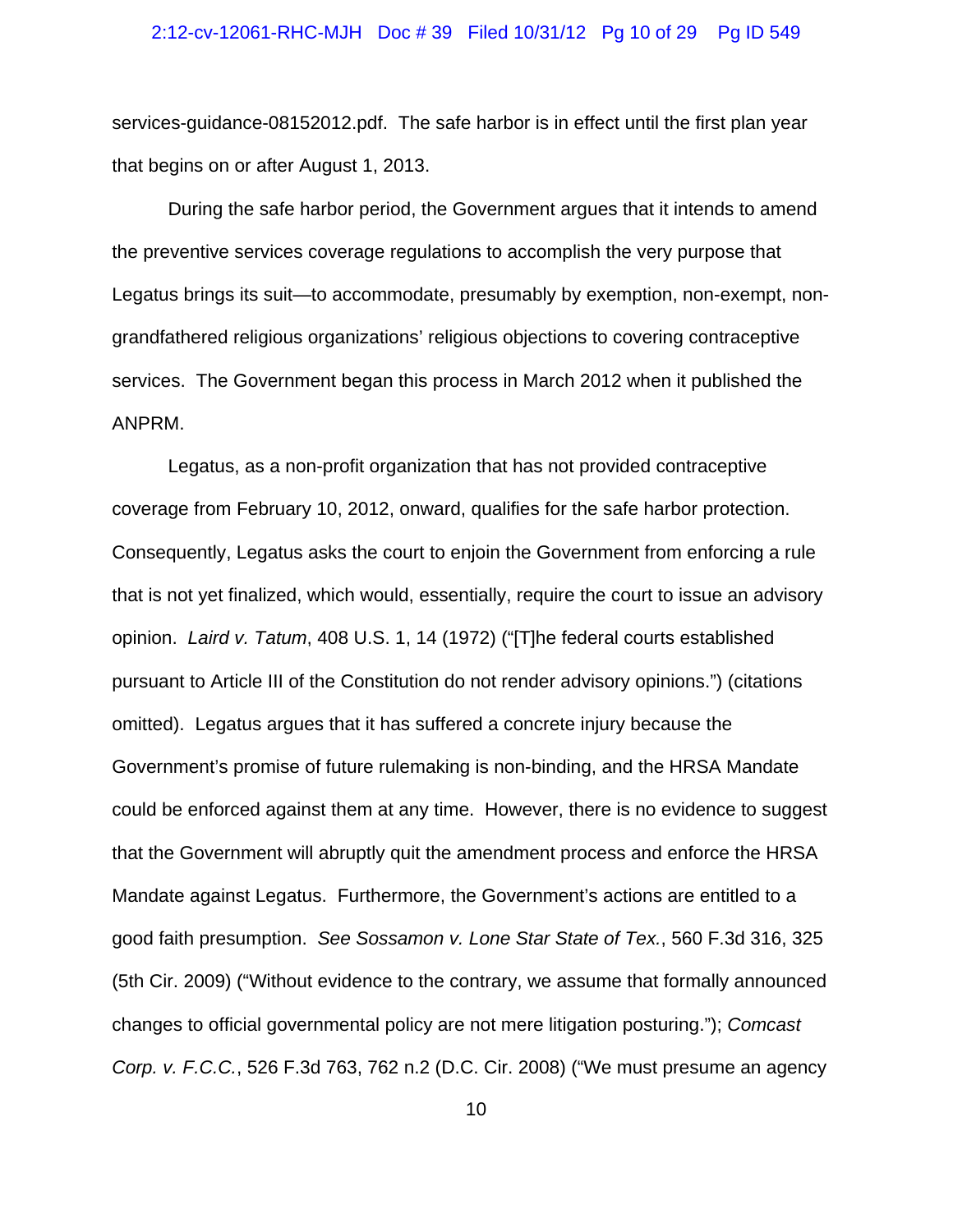#### 2:12-cv-12061-RHC-MJH Doc # 39 Filed 10/31/12 Pg 10 of 29 Pg ID 549

services-guidance-08152012.pdf. The safe harbor is in effect until the first plan year that begins on or after August 1, 2013.

During the safe harbor period, the Government argues that it intends to amend the preventive services coverage regulations to accomplish the very purpose that Legatus brings its suit—to accommodate, presumably by exemption, non-exempt, nongrandfathered religious organizations' religious objections to covering contraceptive services. The Government began this process in March 2012 when it published the ANPRM.

Legatus, as a non-profit organization that has not provided contraceptive coverage from February 10, 2012, onward, qualifies for the safe harbor protection. Consequently, Legatus asks the court to enjoin the Government from enforcing a rule that is not yet finalized, which would, essentially, require the court to issue an advisory opinion. *Laird v. Tatum*, 408 U.S. 1, 14 (1972) ("[T]he federal courts established pursuant to Article III of the Constitution do not render advisory opinions.") (citations omitted). Legatus argues that it has suffered a concrete injury because the Government's promise of future rulemaking is non-binding, and the HRSA Mandate could be enforced against them at any time. However, there is no evidence to suggest that the Government will abruptly quit the amendment process and enforce the HRSA Mandate against Legatus. Furthermore, the Government's actions are entitled to a good faith presumption. *See Sossamon v. Lone Star State of Tex.*, 560 F.3d 316, 325 (5th Cir. 2009) ("Without evidence to the contrary, we assume that formally announced changes to official governmental policy are not mere litigation posturing."); *Comcast Corp. v. F.C.C.*, 526 F.3d 763, 762 n.2 (D.C. Cir. 2008) ("We must presume an agency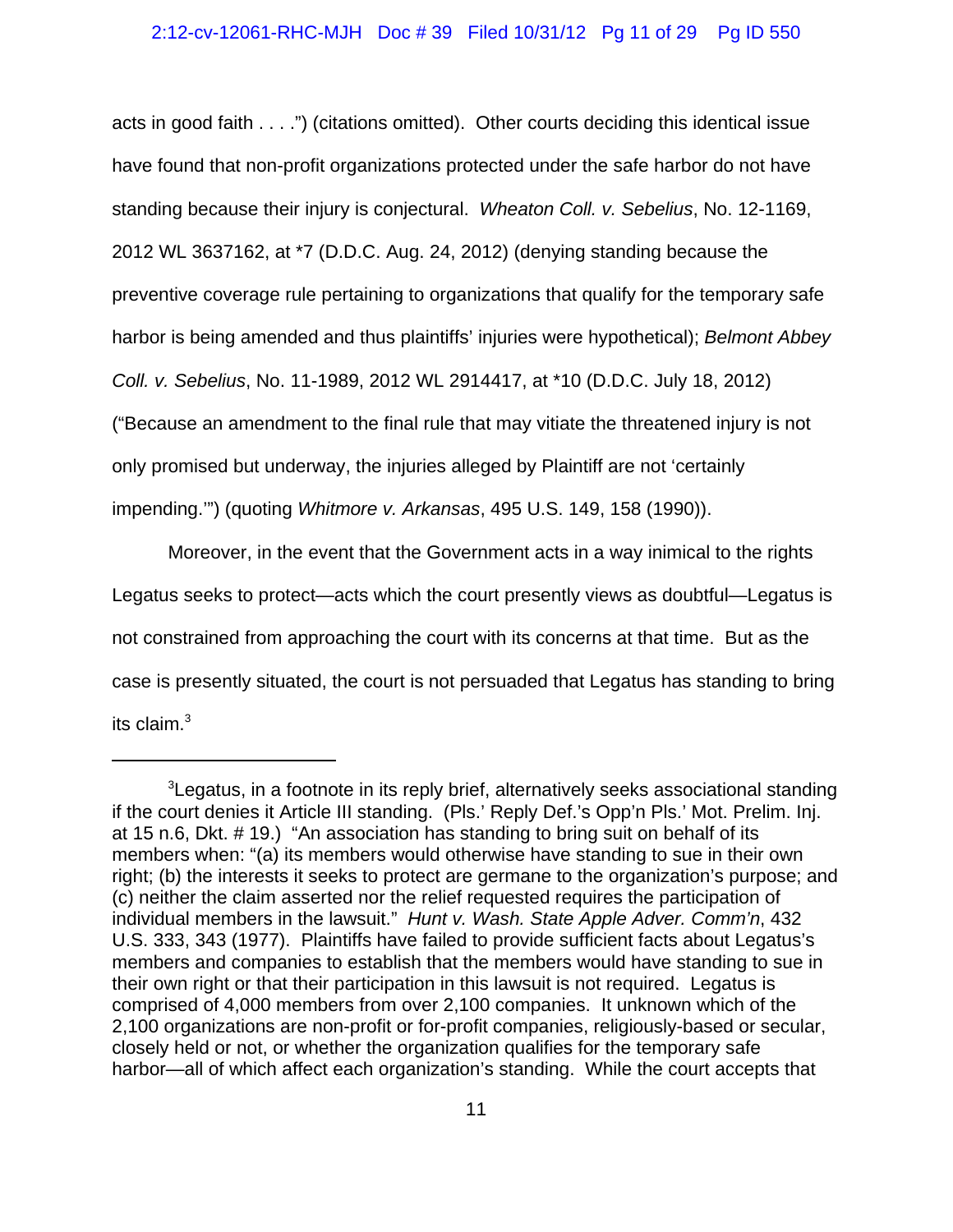## 2:12-cv-12061-RHC-MJH Doc # 39 Filed 10/31/12 Pg 11 of 29 Pg ID 550

acts in good faith . . . .") (citations omitted). Other courts deciding this identical issue have found that non-profit organizations protected under the safe harbor do not have standing because their injury is conjectural. *Wheaton Coll. v. Sebelius*, No. 12-1169, 2012 WL 3637162, at \*7 (D.D.C. Aug. 24, 2012) (denying standing because the preventive coverage rule pertaining to organizations that qualify for the temporary safe harbor is being amended and thus plaintiffs' injuries were hypothetical); *Belmont Abbey Coll. v. Sebelius*, No. 11-1989, 2012 WL 2914417, at \*10 (D.D.C. July 18, 2012) ("Because an amendment to the final rule that may vitiate the threatened injury is not only promised but underway, the injuries alleged by Plaintiff are not 'certainly impending.'") (quoting *Whitmore v. Arkansas*, 495 U.S. 149, 158 (1990)).

Moreover, in the event that the Government acts in a way inimical to the rights Legatus seeks to protect—acts which the court presently views as doubtful—Legatus is not constrained from approaching the court with its concerns at that time. But as the case is presently situated, the court is not persuaded that Legatus has standing to bring its claim. $3$ 

 ${}^{3}$ Legatus, in a footnote in its reply brief, alternatively seeks associational standing if the court denies it Article III standing. (Pls.' Reply Def.'s Opp'n Pls.' Mot. Prelim. Inj. at 15 n.6, Dkt. # 19.) "An association has standing to bring suit on behalf of its members when: "(a) its members would otherwise have standing to sue in their own right; (b) the interests it seeks to protect are germane to the organization's purpose; and (c) neither the claim asserted nor the relief requested requires the participation of individual members in the lawsuit." *Hunt v. Wash. State Apple Adver. Comm'n*, 432 U.S. 333, 343 (1977). Plaintiffs have failed to provide sufficient facts about Legatus's members and companies to establish that the members would have standing to sue in their own right or that their participation in this lawsuit is not required. Legatus is comprised of 4,000 members from over 2,100 companies. It unknown which of the 2,100 organizations are non-profit or for-profit companies, religiously-based or secular, closely held or not, or whether the organization qualifies for the temporary safe harbor—all of which affect each organization's standing. While the court accepts that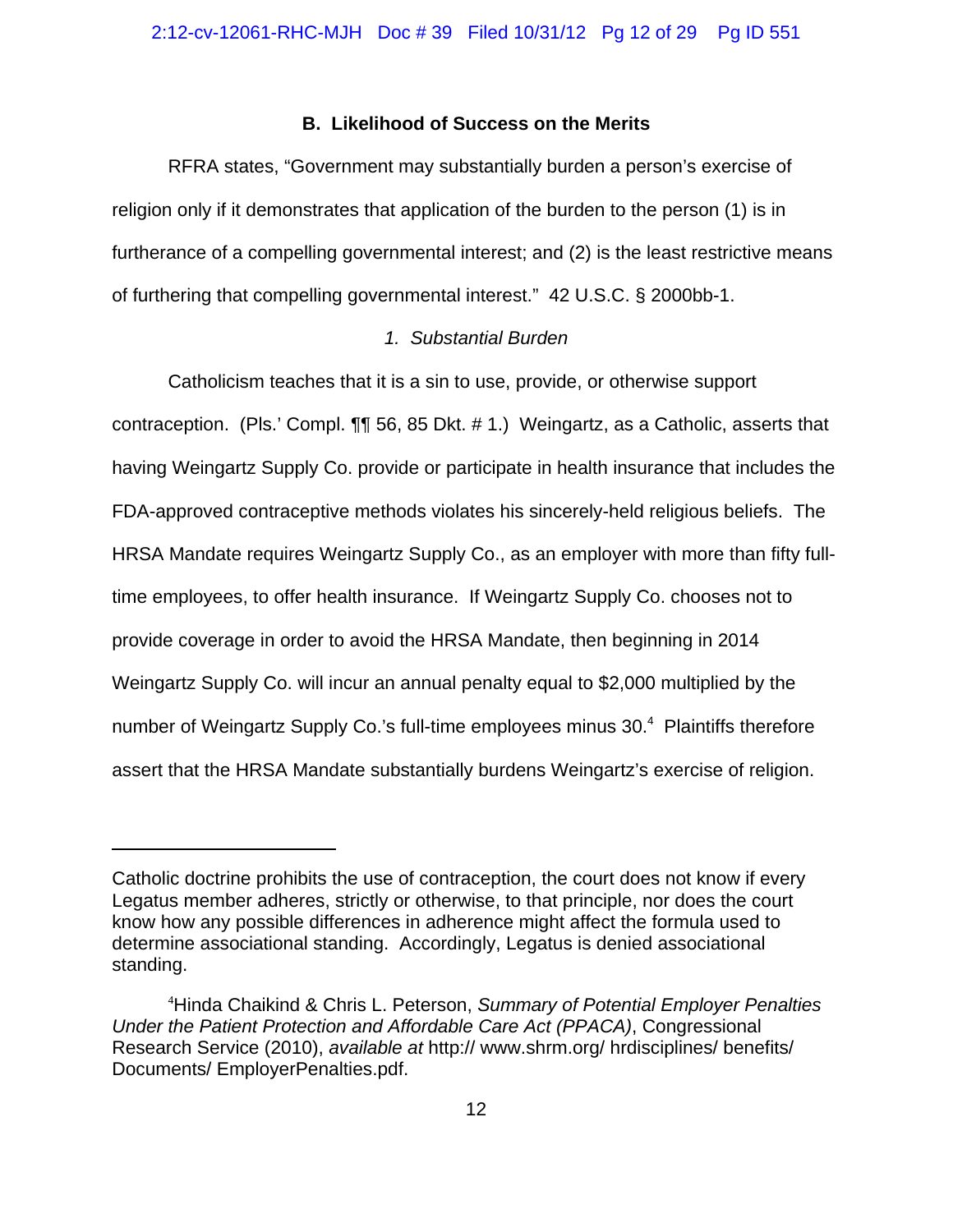## **B. Likelihood of Success on the Merits**

RFRA states, "Government may substantially burden a person's exercise of religion only if it demonstrates that application of the burden to the person (1) is in furtherance of a compelling governmental interest; and (2) is the least restrictive means of furthering that compelling governmental interest." 42 U.S.C. § 2000bb-1.

## *1. Substantial Burden*

Catholicism teaches that it is a sin to use, provide, or otherwise support contraception. (Pls.' Compl. ¶¶ 56, 85 Dkt. # 1.) Weingartz, as a Catholic, asserts that having Weingartz Supply Co. provide or participate in health insurance that includes the FDA-approved contraceptive methods violates his sincerely-held religious beliefs. The HRSA Mandate requires Weingartz Supply Co., as an employer with more than fifty fulltime employees, to offer health insurance. If Weingartz Supply Co. chooses not to provide coverage in order to avoid the HRSA Mandate, then beginning in 2014 Weingartz Supply Co. will incur an annual penalty equal to \$2,000 multiplied by the number of Weingartz Supply Co.'s full-time employees minus 30.<sup>4</sup> Plaintiffs therefore assert that the HRSA Mandate substantially burdens Weingartz's exercise of religion.

Catholic doctrine prohibits the use of contraception, the court does not know if every Legatus member adheres, strictly or otherwise, to that principle, nor does the court know how any possible differences in adherence might affect the formula used to determine associational standing. Accordingly, Legatus is denied associational standing.

<sup>4</sup> Hinda Chaikind & Chris L. Peterson, *Summary of Potential Employer Penalties Under the Patient Protection and Affordable Care Act (PPACA)*, Congressional Research Service (2010), *available at* http:// www.shrm.org/ hrdisciplines/ benefits/ Documents/ EmployerPenalties.pdf.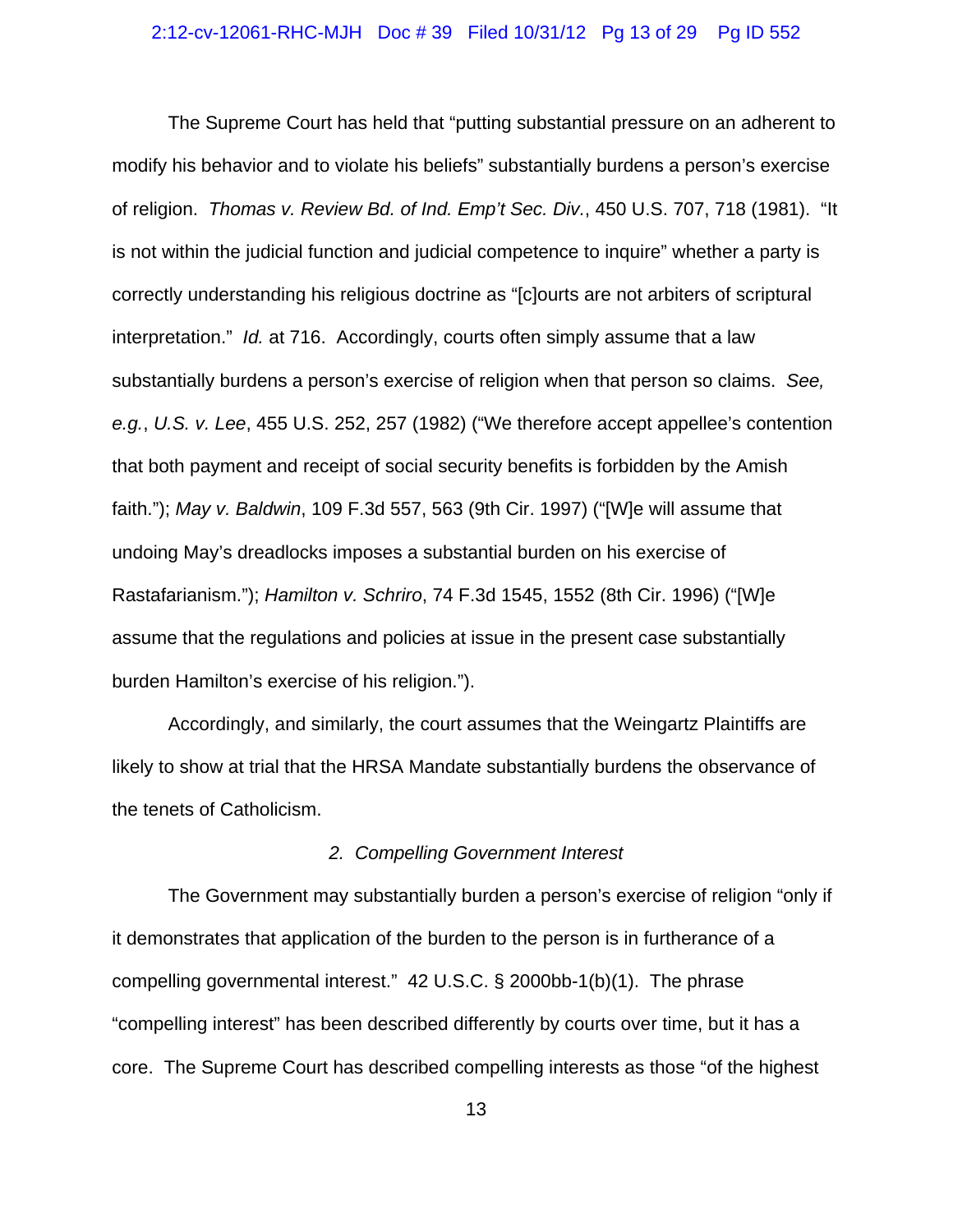#### 2:12-cv-12061-RHC-MJH Doc # 39 Filed 10/31/12 Pg 13 of 29 Pg ID 552

The Supreme Court has held that "putting substantial pressure on an adherent to modify his behavior and to violate his beliefs" substantially burdens a person's exercise of religion. *Thomas v. Review Bd. of Ind. Emp't Sec. Div.*, 450 U.S. 707, 718 (1981). "It is not within the judicial function and judicial competence to inquire" whether a party is correctly understanding his religious doctrine as "[c]ourts are not arbiters of scriptural interpretation." *Id.* at 716. Accordingly, courts often simply assume that a law substantially burdens a person's exercise of religion when that person so claims. *See, e.g.*, *U.S. v. Lee*, 455 U.S. 252, 257 (1982) ("We therefore accept appellee's contention that both payment and receipt of social security benefits is forbidden by the Amish faith."); *May v. Baldwin*, 109 F.3d 557, 563 (9th Cir. 1997) ("[W]e will assume that undoing May's dreadlocks imposes a substantial burden on his exercise of Rastafarianism."); *Hamilton v. Schriro*, 74 F.3d 1545, 1552 (8th Cir. 1996) ("[W]e assume that the regulations and policies at issue in the present case substantially burden Hamilton's exercise of his religion.").

Accordingly, and similarly, the court assumes that the Weingartz Plaintiffs are likely to show at trial that the HRSA Mandate substantially burdens the observance of the tenets of Catholicism.

## *2. Compelling Government Interest*

The Government may substantially burden a person's exercise of religion "only if it demonstrates that application of the burden to the person is in furtherance of a compelling governmental interest." 42 U.S.C. § 2000bb-1(b)(1). The phrase "compelling interest" has been described differently by courts over time, but it has a core. The Supreme Court has described compelling interests as those "of the highest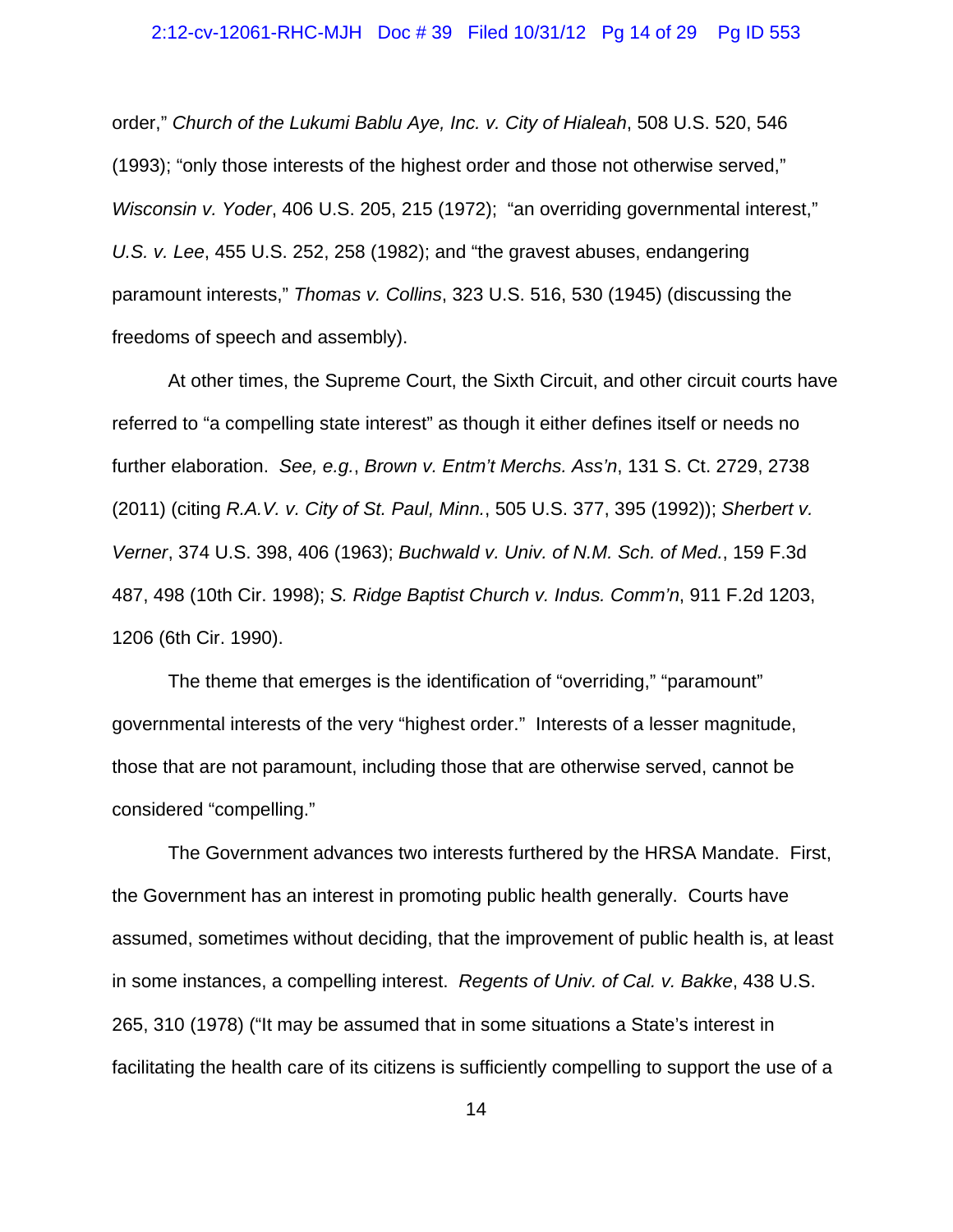#### 2:12-cv-12061-RHC-MJH Doc # 39 Filed 10/31/12 Pg 14 of 29 Pg ID 553

order," *Church of the Lukumi Bablu Aye, Inc. v. City of Hialeah*, 508 U.S. 520, 546 (1993); "only those interests of the highest order and those not otherwise served," *Wisconsin v. Yoder*, 406 U.S. 205, 215 (1972); "an overriding governmental interest," *U.S. v. Lee*, 455 U.S. 252, 258 (1982); and "the gravest abuses, endangering paramount interests," *Thomas v. Collins*, 323 U.S. 516, 530 (1945) (discussing the freedoms of speech and assembly).

At other times, the Supreme Court, the Sixth Circuit, and other circuit courts have referred to "a compelling state interest" as though it either defines itself or needs no further elaboration. *See, e.g.*, *Brown v. Entm't Merchs. Ass'n*, 131 S. Ct. 2729, 2738 (2011) (citing *R.A.V. v. City of St. Paul, Minn.*, 505 U.S. 377, 395 (1992)); *Sherbert v. Verner*, 374 U.S. 398, 406 (1963); *Buchwald v. Univ. of N.M. Sch. of Med.*, 159 F.3d 487, 498 (10th Cir. 1998); *S. Ridge Baptist Church v. Indus. Comm'n*, 911 F.2d 1203, 1206 (6th Cir. 1990).

The theme that emerges is the identification of "overriding," "paramount" governmental interests of the very "highest order." Interests of a lesser magnitude, those that are not paramount, including those that are otherwise served, cannot be considered "compelling."

The Government advances two interests furthered by the HRSA Mandate. First, the Government has an interest in promoting public health generally. Courts have assumed, sometimes without deciding, that the improvement of public health is, at least in some instances, a compelling interest. *Regents of Univ. of Cal. v. Bakke*, 438 U.S. 265, 310 (1978) ("It may be assumed that in some situations a State's interest in facilitating the health care of its citizens is sufficiently compelling to support the use of a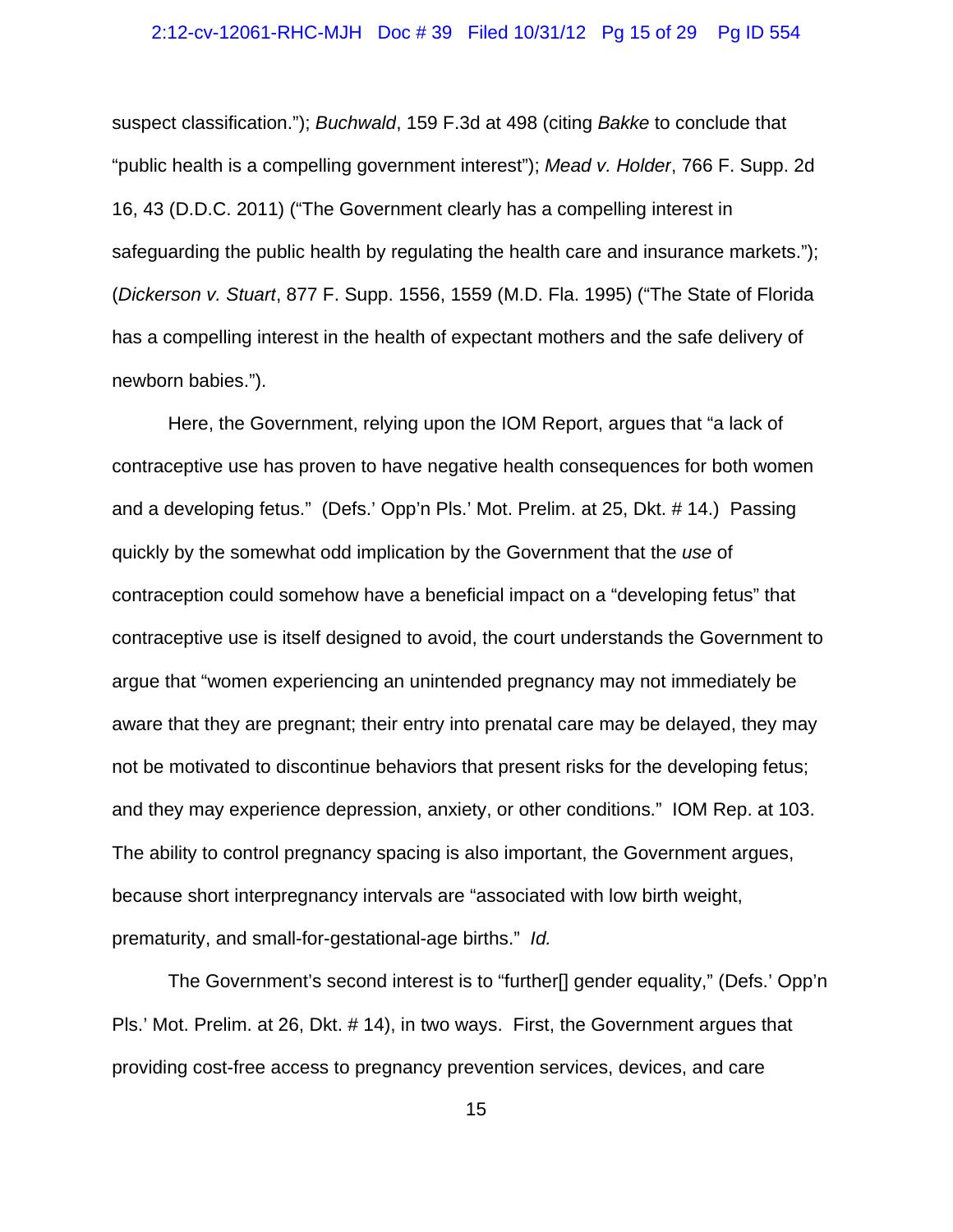#### 2:12-cv-12061-RHC-MJH Doc # 39 Filed 10/31/12 Pg 15 of 29 Pg ID 554

suspect classification."); *Buchwald*, 159 F.3d at 498 (citing *Bakke* to conclude that "public health is a compelling government interest"); *Mead v. Holder*, 766 F. Supp. 2d 16, 43 (D.D.C. 2011) ("The Government clearly has a compelling interest in safeguarding the public health by regulating the health care and insurance markets."); (*Dickerson v. Stuart*, 877 F. Supp. 1556, 1559 (M.D. Fla. 1995) ("The State of Florida has a compelling interest in the health of expectant mothers and the safe delivery of newborn babies.").

Here, the Government, relying upon the IOM Report, argues that "a lack of contraceptive use has proven to have negative health consequences for both women and a developing fetus." (Defs.' Opp'n Pls.' Mot. Prelim. at 25, Dkt. # 14.) Passing quickly by the somewhat odd implication by the Government that the *use* of contraception could somehow have a beneficial impact on a "developing fetus" that contraceptive use is itself designed to avoid, the court understands the Government to argue that "women experiencing an unintended pregnancy may not immediately be aware that they are pregnant; their entry into prenatal care may be delayed, they may not be motivated to discontinue behaviors that present risks for the developing fetus; and they may experience depression, anxiety, or other conditions." IOM Rep. at 103. The ability to control pregnancy spacing is also important, the Government argues, because short interpregnancy intervals are "associated with low birth weight, prematurity, and small-for-gestational-age births." *Id.*

The Government's second interest is to "further[] gender equality," (Defs.' Opp'n Pls.' Mot. Prelim. at 26, Dkt. # 14), in two ways. First, the Government argues that providing cost-free access to pregnancy prevention services, devices, and care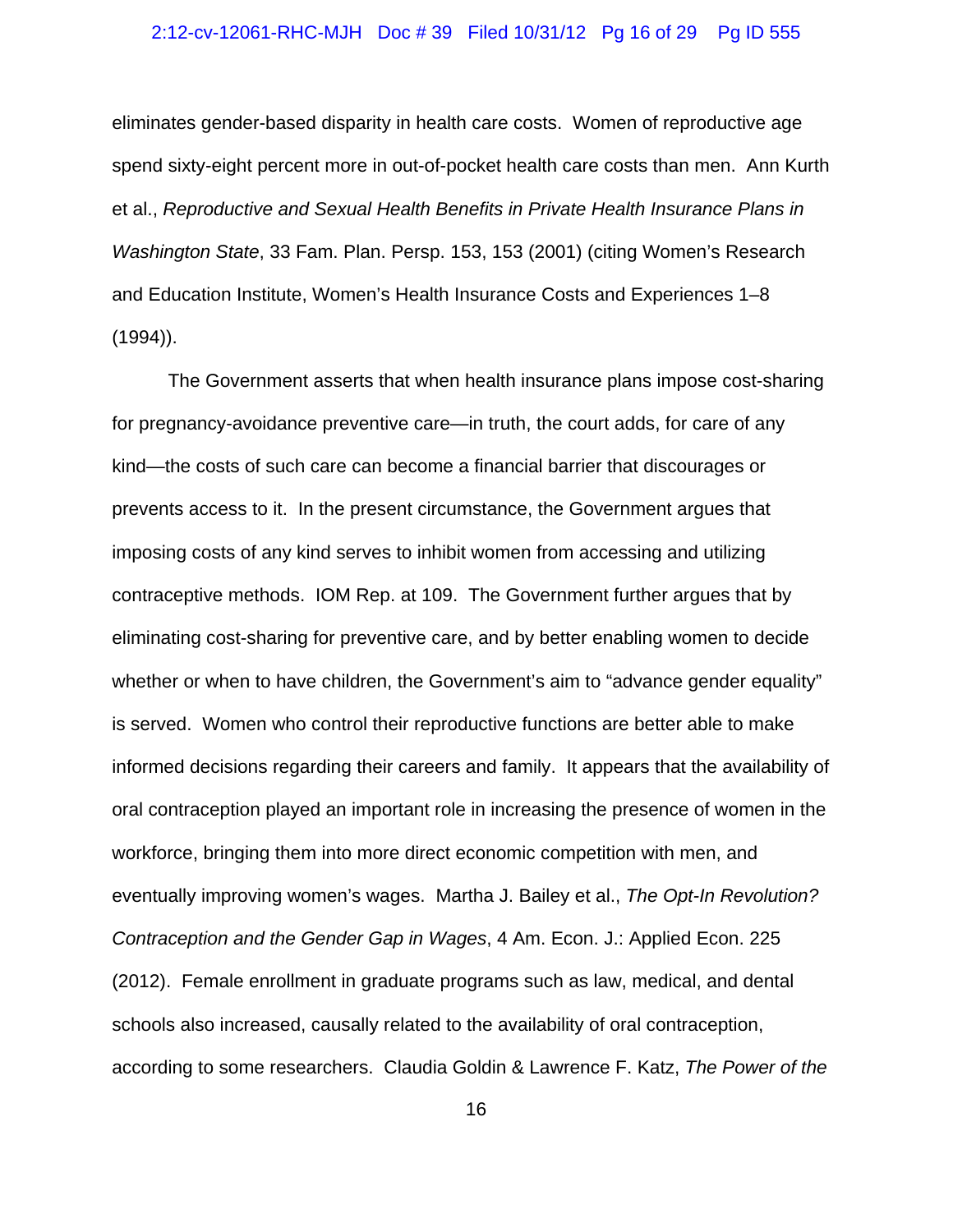#### 2:12-cv-12061-RHC-MJH Doc # 39 Filed 10/31/12 Pg 16 of 29 Pg ID 555

eliminates gender-based disparity in health care costs. Women of reproductive age spend sixty-eight percent more in out-of-pocket health care costs than men. Ann Kurth et al., *Reproductive and Sexual Health Benefits in Private Health Insurance Plans in Washington State*, 33 Fam. Plan. Persp. 153, 153 (2001) (citing Women's Research and Education Institute, Women's Health Insurance Costs and Experiences 1–8 (1994)).

The Government asserts that when health insurance plans impose cost-sharing for pregnancy-avoidance preventive care—in truth, the court adds, for care of any kind—the costs of such care can become a financial barrier that discourages or prevents access to it. In the present circumstance, the Government argues that imposing costs of any kind serves to inhibit women from accessing and utilizing contraceptive methods. IOM Rep. at 109. The Government further argues that by eliminating cost-sharing for preventive care, and by better enabling women to decide whether or when to have children, the Government's aim to "advance gender equality" is served. Women who control their reproductive functions are better able to make informed decisions regarding their careers and family. It appears that the availability of oral contraception played an important role in increasing the presence of women in the workforce, bringing them into more direct economic competition with men, and eventually improving women's wages. Martha J. Bailey et al., *The Opt-In Revolution? Contraception and the Gender Gap in Wages*, 4 Am. Econ. J.: Applied Econ. 225 (2012). Female enrollment in graduate programs such as law, medical, and dental schools also increased, causally related to the availability of oral contraception, according to some researchers. Claudia Goldin & Lawrence F. Katz, *The Power of the*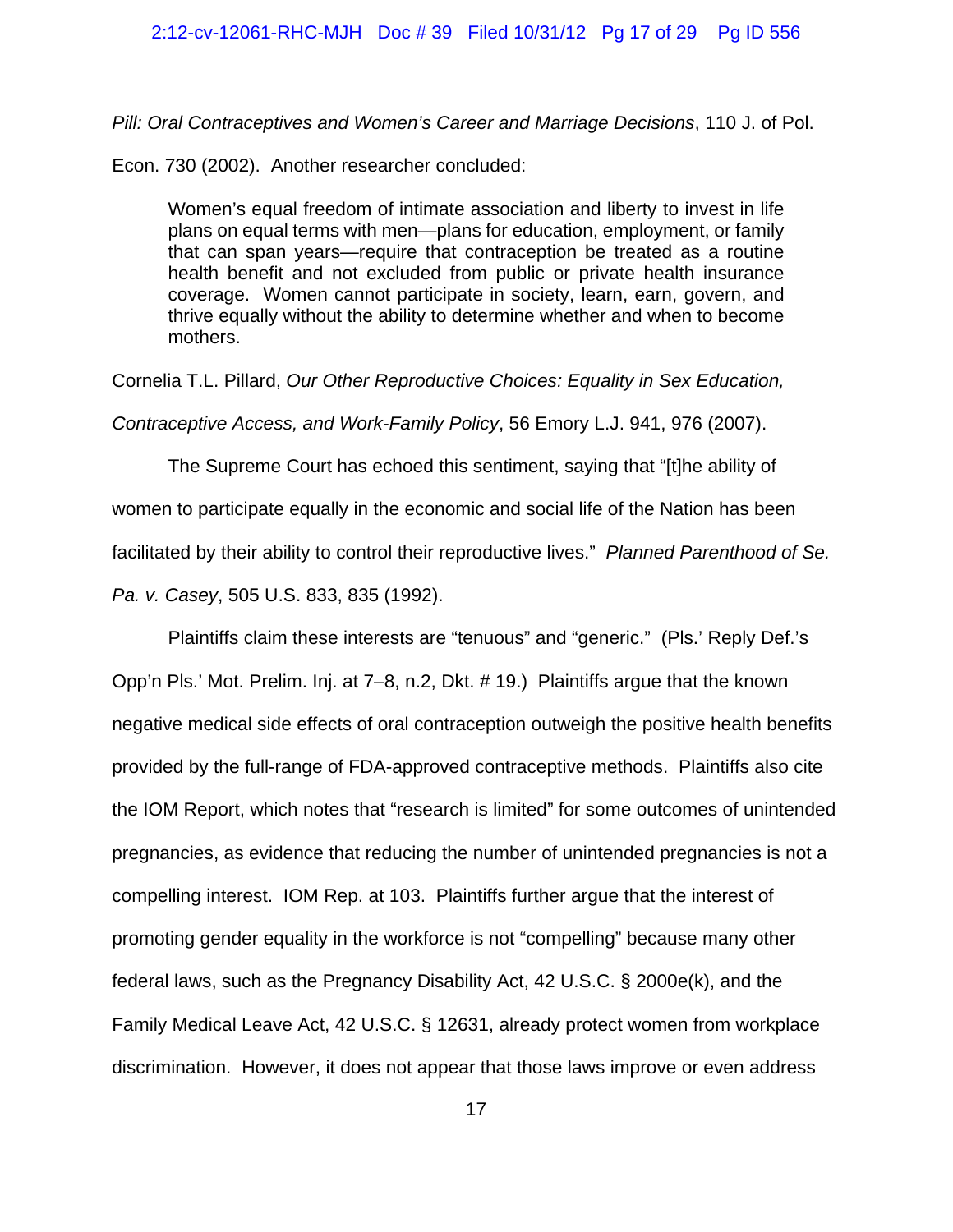#### 2:12-cv-12061-RHC-MJH Doc # 39 Filed 10/31/12 Pg 17 of 29 Pg ID 556

*Pill: Oral Contraceptives and Women's Career and Marriage Decisions*, 110 J. of Pol.

Econ. 730 (2002). Another researcher concluded:

Women's equal freedom of intimate association and liberty to invest in life plans on equal terms with men—plans for education, employment, or family that can span years—require that contraception be treated as a routine health benefit and not excluded from public or private health insurance coverage. Women cannot participate in society, learn, earn, govern, and thrive equally without the ability to determine whether and when to become mothers.

Cornelia T.L. Pillard, *Our Other Reproductive Choices: Equality in Sex Education, Contraceptive Access, and Work-Family Policy*, 56 Emory L.J. 941, 976 (2007).

The Supreme Court has echoed this sentiment, saying that "[t]he ability of women to participate equally in the economic and social life of the Nation has been facilitated by their ability to control their reproductive lives." *Planned Parenthood of Se. Pa. v. Casey*, 505 U.S. 833, 835 (1992).

Plaintiffs claim these interests are "tenuous" and "generic." (Pls.' Reply Def.'s Opp'n Pls.' Mot. Prelim. Inj. at 7–8, n.2, Dkt. # 19.) Plaintiffs argue that the known negative medical side effects of oral contraception outweigh the positive health benefits provided by the full-range of FDA-approved contraceptive methods. Plaintiffs also cite the IOM Report, which notes that "research is limited" for some outcomes of unintended pregnancies, as evidence that reducing the number of unintended pregnancies is not a compelling interest. IOM Rep. at 103. Plaintiffs further argue that the interest of promoting gender equality in the workforce is not "compelling" because many other federal laws, such as the Pregnancy Disability Act, 42 U.S.C. § 2000e(k), and the Family Medical Leave Act, 42 U.S.C. § 12631, already protect women from workplace discrimination. However, it does not appear that those laws improve or even address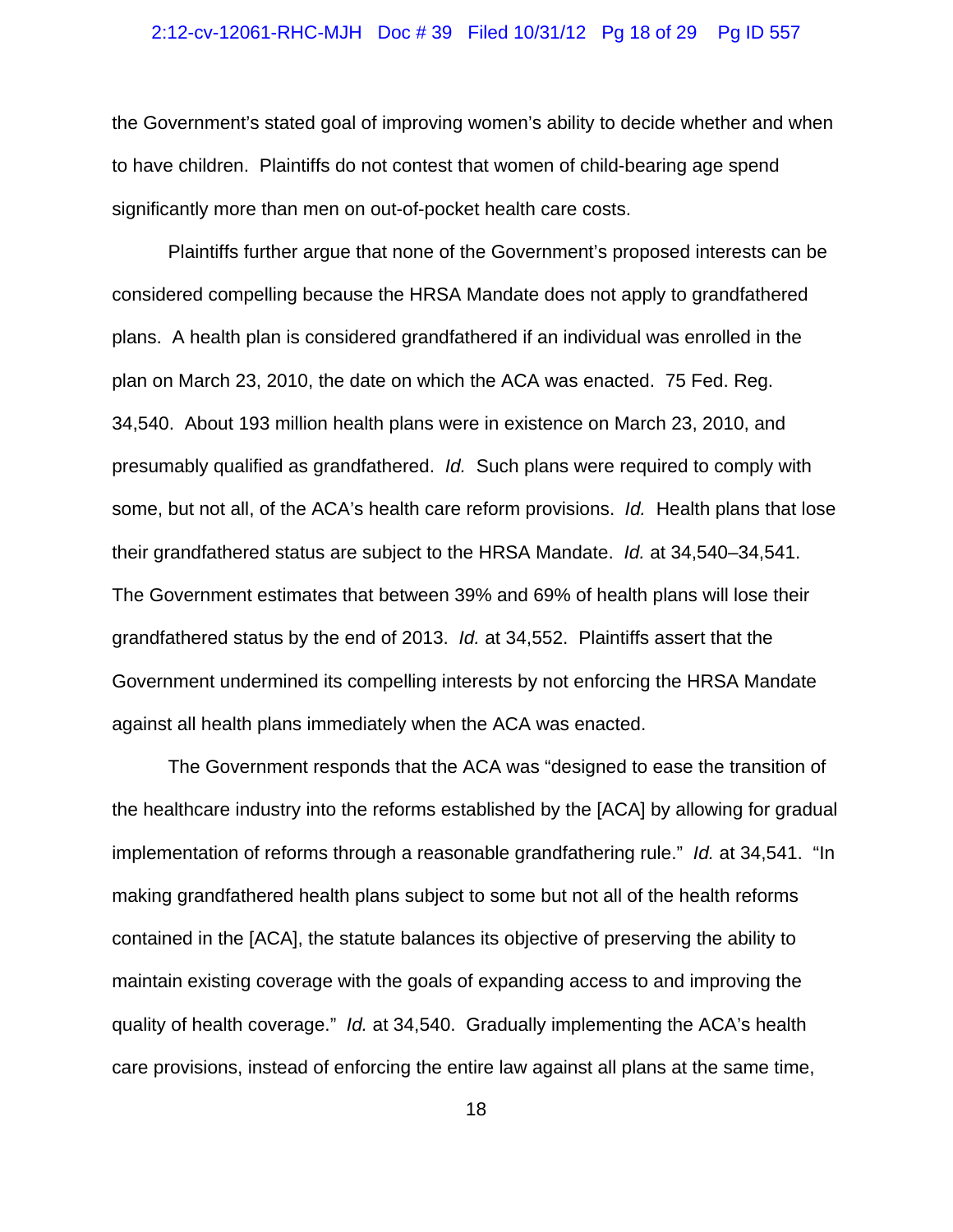#### 2:12-cv-12061-RHC-MJH Doc # 39 Filed 10/31/12 Pg 18 of 29 Pg ID 557

the Government's stated goal of improving women's ability to decide whether and when to have children. Plaintiffs do not contest that women of child-bearing age spend significantly more than men on out-of-pocket health care costs.

Plaintiffs further argue that none of the Government's proposed interests can be considered compelling because the HRSA Mandate does not apply to grandfathered plans. A health plan is considered grandfathered if an individual was enrolled in the plan on March 23, 2010, the date on which the ACA was enacted. 75 Fed. Reg. 34,540. About 193 million health plans were in existence on March 23, 2010, and presumably qualified as grandfathered. *Id.* Such plans were required to comply with some, but not all, of the ACA's health care reform provisions. *Id.* Health plans that lose their grandfathered status are subject to the HRSA Mandate. *Id.* at 34,540–34,541. The Government estimates that between 39% and 69% of health plans will lose their grandfathered status by the end of 2013. *Id.* at 34,552. Plaintiffs assert that the Government undermined its compelling interests by not enforcing the HRSA Mandate against all health plans immediately when the ACA was enacted.

The Government responds that the ACA was "designed to ease the transition of the healthcare industry into the reforms established by the [ACA] by allowing for gradual implementation of reforms through a reasonable grandfathering rule." *Id.* at 34,541. "In making grandfathered health plans subject to some but not all of the health reforms contained in the [ACA], the statute balances its objective of preserving the ability to maintain existing coverage with the goals of expanding access to and improving the quality of health coverage." *Id.* at 34,540. Gradually implementing the ACA's health care provisions, instead of enforcing the entire law against all plans at the same time,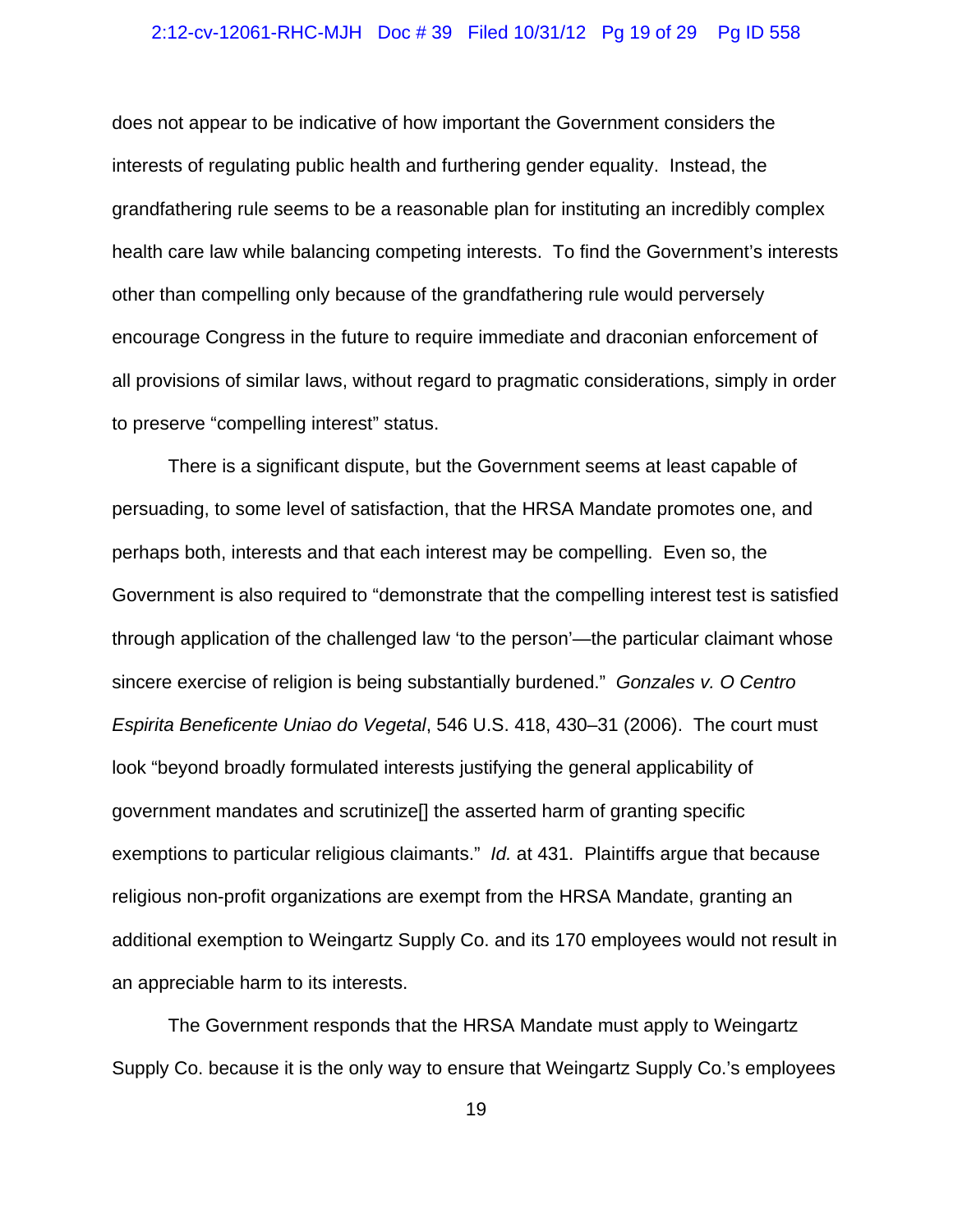#### 2:12-cv-12061-RHC-MJH Doc # 39 Filed 10/31/12 Pg 19 of 29 Pg ID 558

does not appear to be indicative of how important the Government considers the interests of regulating public health and furthering gender equality. Instead, the grandfathering rule seems to be a reasonable plan for instituting an incredibly complex health care law while balancing competing interests. To find the Government's interests other than compelling only because of the grandfathering rule would perversely encourage Congress in the future to require immediate and draconian enforcement of all provisions of similar laws, without regard to pragmatic considerations, simply in order to preserve "compelling interest" status.

There is a significant dispute, but the Government seems at least capable of persuading, to some level of satisfaction, that the HRSA Mandate promotes one, and perhaps both, interests and that each interest may be compelling. Even so, the Government is also required to "demonstrate that the compelling interest test is satisfied through application of the challenged law 'to the person'—the particular claimant whose sincere exercise of religion is being substantially burdened." *Gonzales v. O Centro Espirita Beneficente Uniao do Vegetal*, 546 U.S. 418, 430–31 (2006). The court must look "beyond broadly formulated interests justifying the general applicability of government mandates and scrutinize[] the asserted harm of granting specific exemptions to particular religious claimants." *Id.* at 431. Plaintiffs argue that because religious non-profit organizations are exempt from the HRSA Mandate, granting an additional exemption to Weingartz Supply Co. and its 170 employees would not result in an appreciable harm to its interests.

The Government responds that the HRSA Mandate must apply to Weingartz Supply Co. because it is the only way to ensure that Weingartz Supply Co.'s employees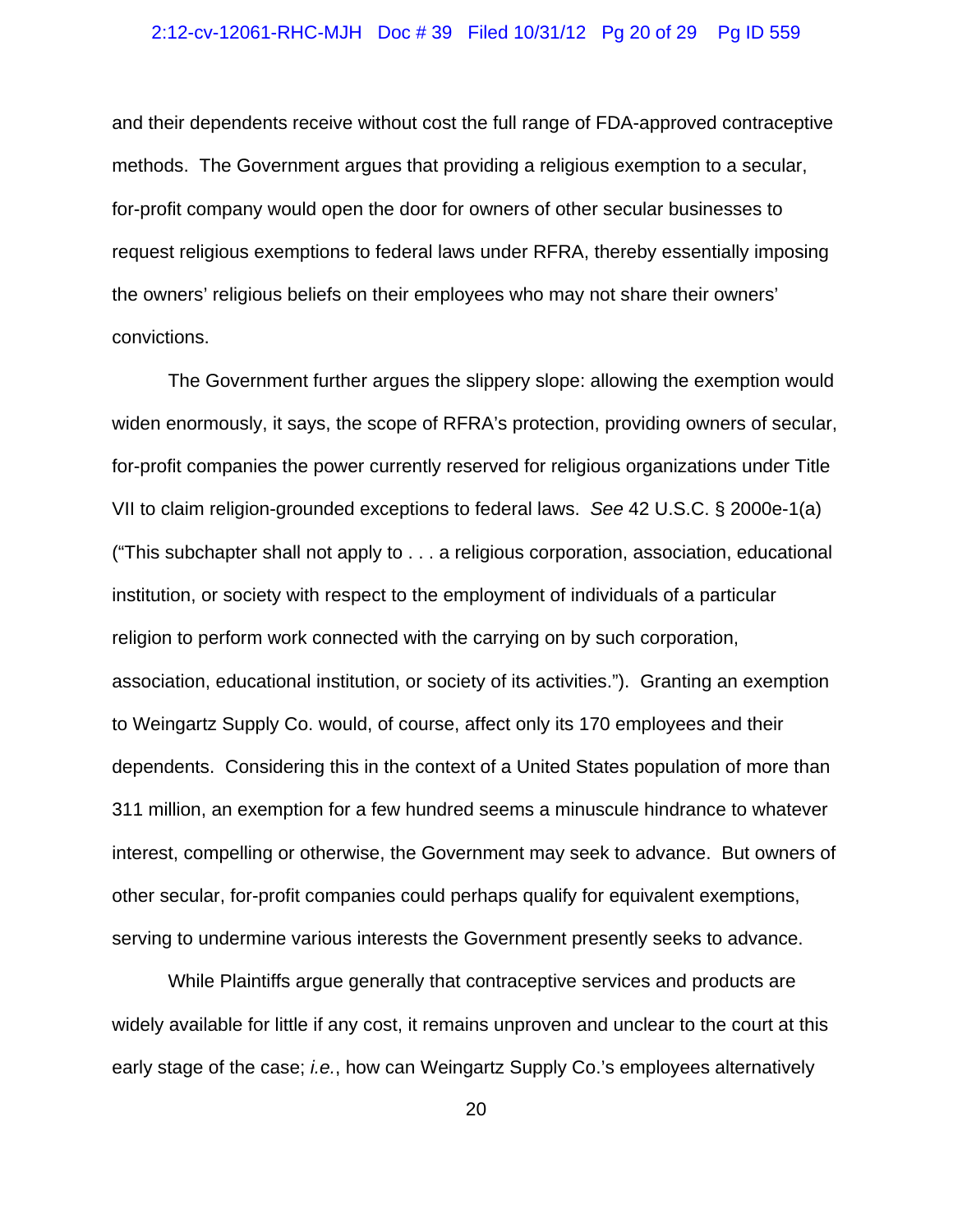#### 2:12-cv-12061-RHC-MJH Doc # 39 Filed 10/31/12 Pg 20 of 29 Pg ID 559

and their dependents receive without cost the full range of FDA-approved contraceptive methods. The Government argues that providing a religious exemption to a secular, for-profit company would open the door for owners of other secular businesses to request religious exemptions to federal laws under RFRA, thereby essentially imposing the owners' religious beliefs on their employees who may not share their owners' convictions.

The Government further argues the slippery slope: allowing the exemption would widen enormously, it says, the scope of RFRA's protection, providing owners of secular, for-profit companies the power currently reserved for religious organizations under Title VII to claim religion-grounded exceptions to federal laws. *See* 42 U.S.C. § 2000e-1(a) ("This subchapter shall not apply to . . . a religious corporation, association, educational institution, or society with respect to the employment of individuals of a particular religion to perform work connected with the carrying on by such corporation, association, educational institution, or society of its activities."). Granting an exemption to Weingartz Supply Co. would, of course, affect only its 170 employees and their dependents. Considering this in the context of a United States population of more than 311 million, an exemption for a few hundred seems a minuscule hindrance to whatever interest, compelling or otherwise, the Government may seek to advance. But owners of other secular, for-profit companies could perhaps qualify for equivalent exemptions, serving to undermine various interests the Government presently seeks to advance.

While Plaintiffs argue generally that contraceptive services and products are widely available for little if any cost, it remains unproven and unclear to the court at this early stage of the case; *i.e.*, how can Weingartz Supply Co.'s employees alternatively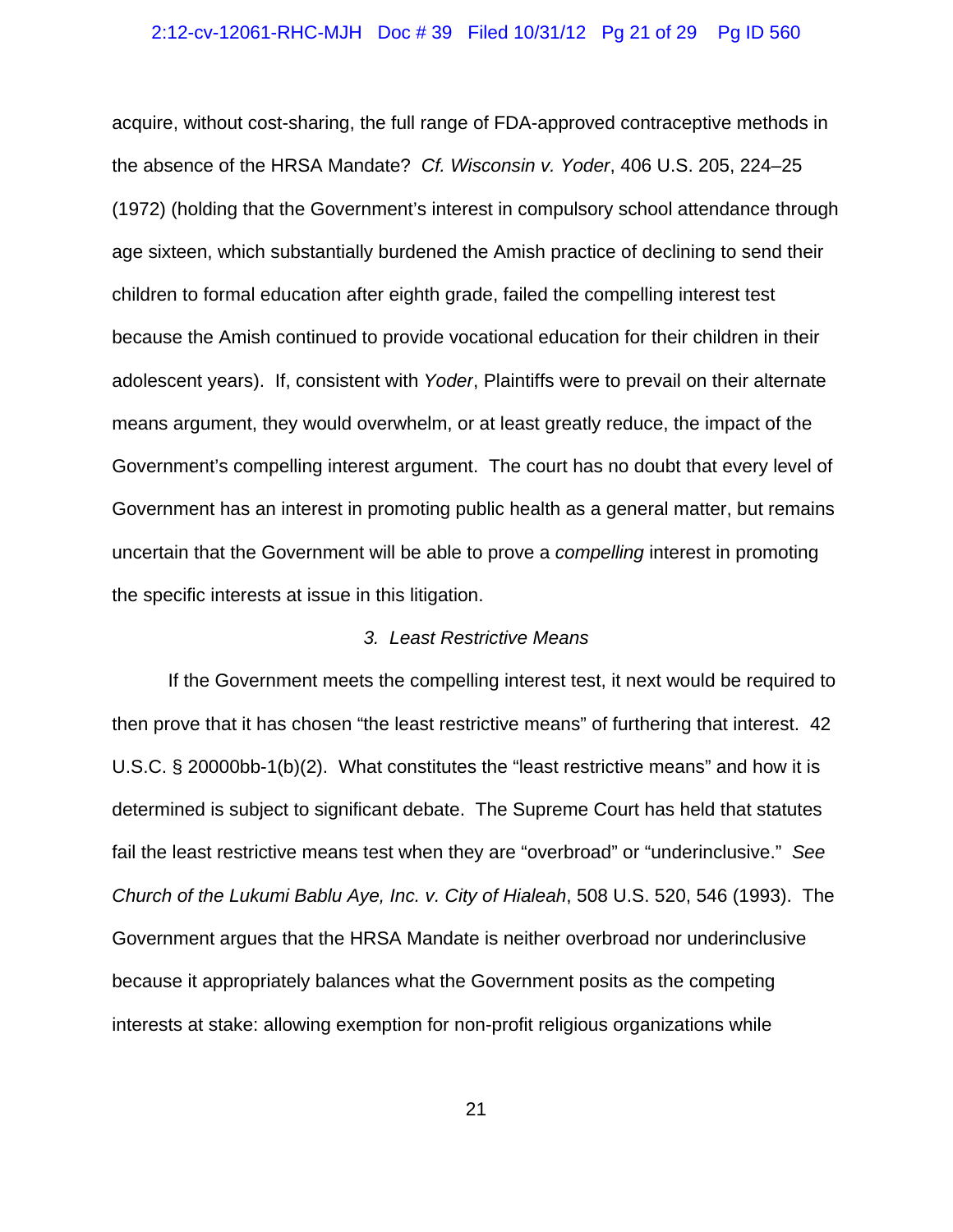#### 2:12-cv-12061-RHC-MJH Doc # 39 Filed 10/31/12 Pg 21 of 29 Pg ID 560

acquire, without cost-sharing, the full range of FDA-approved contraceptive methods in the absence of the HRSA Mandate? *Cf. Wisconsin v. Yoder*, 406 U.S. 205, 224–25 (1972) (holding that the Government's interest in compulsory school attendance through age sixteen, which substantially burdened the Amish practice of declining to send their children to formal education after eighth grade, failed the compelling interest test because the Amish continued to provide vocational education for their children in their adolescent years). If, consistent with *Yoder*, Plaintiffs were to prevail on their alternate means argument, they would overwhelm, or at least greatly reduce, the impact of the Government's compelling interest argument. The court has no doubt that every level of Government has an interest in promoting public health as a general matter, but remains uncertain that the Government will be able to prove a *compelling* interest in promoting the specific interests at issue in this litigation.

## *3. Least Restrictive Means*

If the Government meets the compelling interest test, it next would be required to then prove that it has chosen "the least restrictive means" of furthering that interest. 42 U.S.C. § 20000bb-1(b)(2). What constitutes the "least restrictive means" and how it is determined is subject to significant debate. The Supreme Court has held that statutes fail the least restrictive means test when they are "overbroad" or "underinclusive." *See Church of the Lukumi Bablu Aye, Inc. v. City of Hialeah*, 508 U.S. 520, 546 (1993). The Government argues that the HRSA Mandate is neither overbroad nor underinclusive because it appropriately balances what the Government posits as the competing interests at stake: allowing exemption for non-profit religious organizations while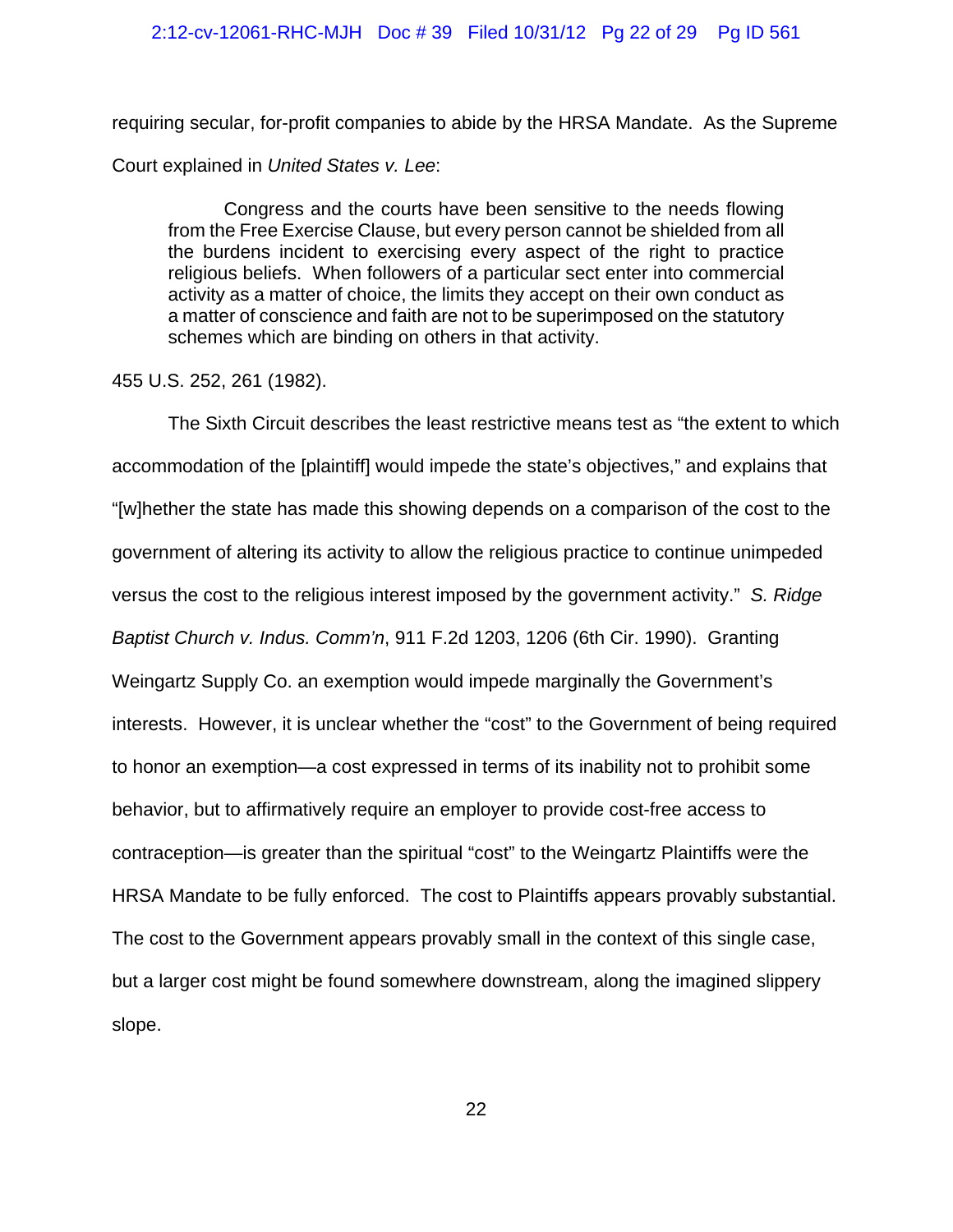## 2:12-cv-12061-RHC-MJH Doc # 39 Filed 10/31/12 Pg 22 of 29 Pg ID 561

requiring secular, for-profit companies to abide by the HRSA Mandate. As the Supreme Court explained in *United States v. Lee*:

Congress and the courts have been sensitive to the needs flowing from the Free Exercise Clause, but every person cannot be shielded from all the burdens incident to exercising every aspect of the right to practice religious beliefs. When followers of a particular sect enter into commercial activity as a matter of choice, the limits they accept on their own conduct as a matter of conscience and faith are not to be superimposed on the statutory schemes which are binding on others in that activity.

## 455 U.S. 252, 261 (1982).

The Sixth Circuit describes the least restrictive means test as "the extent to which accommodation of the [plaintiff] would impede the state's objectives," and explains that "[w]hether the state has made this showing depends on a comparison of the cost to the government of altering its activity to allow the religious practice to continue unimpeded versus the cost to the religious interest imposed by the government activity." *S. Ridge Baptist Church v. Indus. Comm'n*, 911 F.2d 1203, 1206 (6th Cir. 1990). Granting Weingartz Supply Co. an exemption would impede marginally the Government's interests. However, it is unclear whether the "cost" to the Government of being required to honor an exemption—a cost expressed in terms of its inability not to prohibit some behavior, but to affirmatively require an employer to provide cost-free access to contraception—is greater than the spiritual "cost" to the Weingartz Plaintiffs were the HRSA Mandate to be fully enforced. The cost to Plaintiffs appears provably substantial. The cost to the Government appears provably small in the context of this single case, but a larger cost might be found somewhere downstream, along the imagined slippery slope.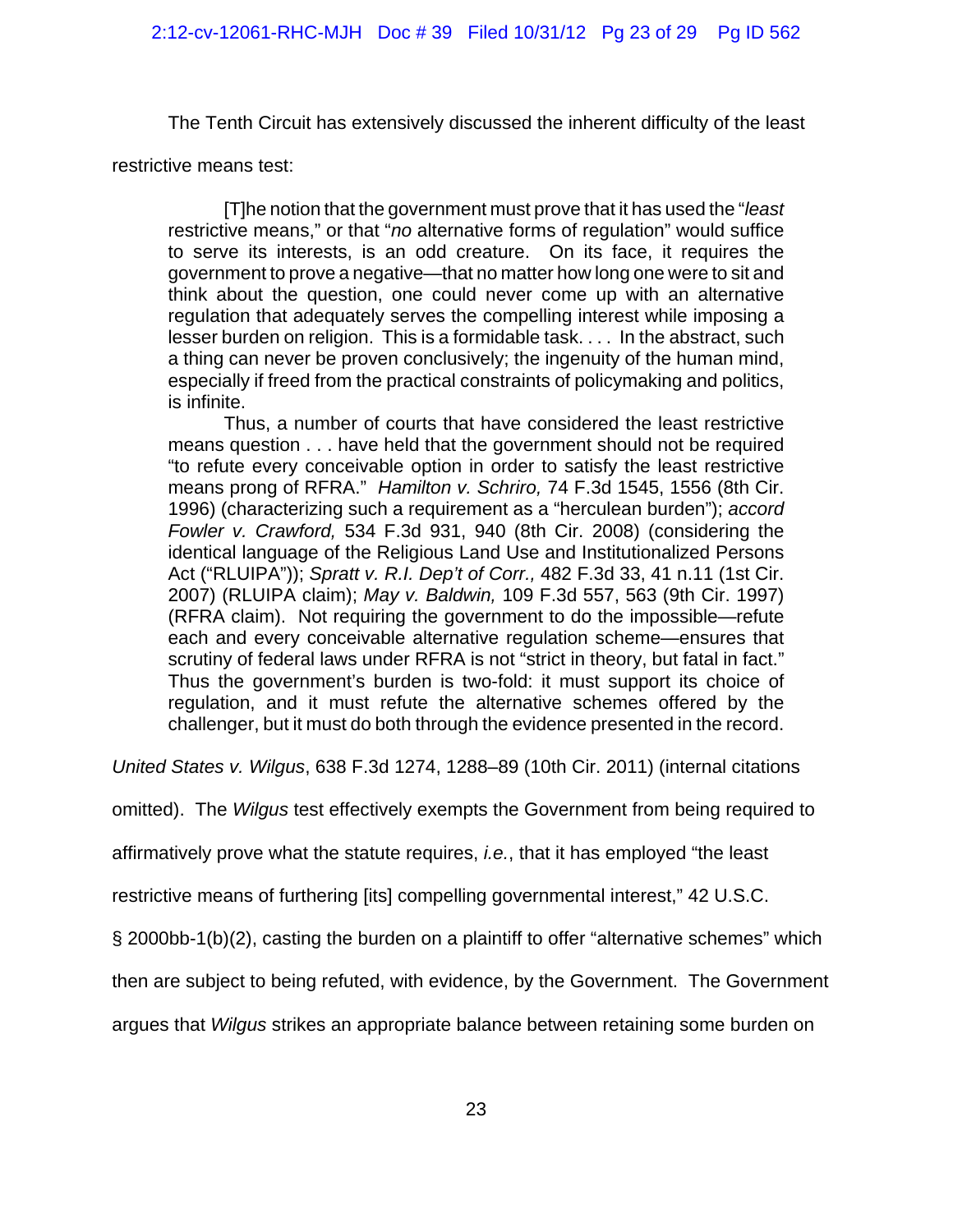The Tenth Circuit has extensively discussed the inherent difficulty of the least

restrictive means test:

[T]he notion that the government must prove that it has used the "*least* restrictive means," or that "*no* alternative forms of regulation" would suffice to serve its interests, is an odd creature. On its face, it requires the government to prove a negative—that no matter how long one were to sit and think about the question, one could never come up with an alternative regulation that adequately serves the compelling interest while imposing a lesser burden on religion. This is a formidable task. . . . In the abstract, such a thing can never be proven conclusively; the ingenuity of the human mind, especially if freed from the practical constraints of policymaking and politics, is infinite.

Thus, a number of courts that have considered the least restrictive means question . . . have held that the government should not be required "to refute every conceivable option in order to satisfy the least restrictive means prong of RFRA." *Hamilton v. Schriro,* 74 F.3d 1545, 1556 (8th Cir. 1996) (characterizing such a requirement as a "herculean burden"); *accord Fowler v. Crawford,* 534 F.3d 931, 940 (8th Cir. 2008) (considering the identical language of the Religious Land Use and Institutionalized Persons Act ("RLUIPA")); *Spratt v. R.I. Dep't of Corr.,* 482 F.3d 33, 41 n.11 (1st Cir. 2007) (RLUIPA claim); *May v. Baldwin,* 109 F.3d 557, 563 (9th Cir. 1997) (RFRA claim). Not requiring the government to do the impossible—refute each and every conceivable alternative regulation scheme—ensures that scrutiny of federal laws under RFRA is not "strict in theory, but fatal in fact." Thus the government's burden is two-fold: it must support its choice of regulation, and it must refute the alternative schemes offered by the challenger, but it must do both through the evidence presented in the record.

*United States v. Wilgus*, 638 F.3d 1274, 1288–89 (10th Cir. 2011) (internal citations

omitted). The *Wilgus* test effectively exempts the Government from being required to

affirmatively prove what the statute requires, *i.e.*, that it has employed "the least

restrictive means of furthering [its] compelling governmental interest," 42 U.S.C.

§ 2000bb-1(b)(2), casting the burden on a plaintiff to offer "alternative schemes" which

then are subject to being refuted, with evidence, by the Government. The Government

argues that *Wilgus* strikes an appropriate balance between retaining some burden on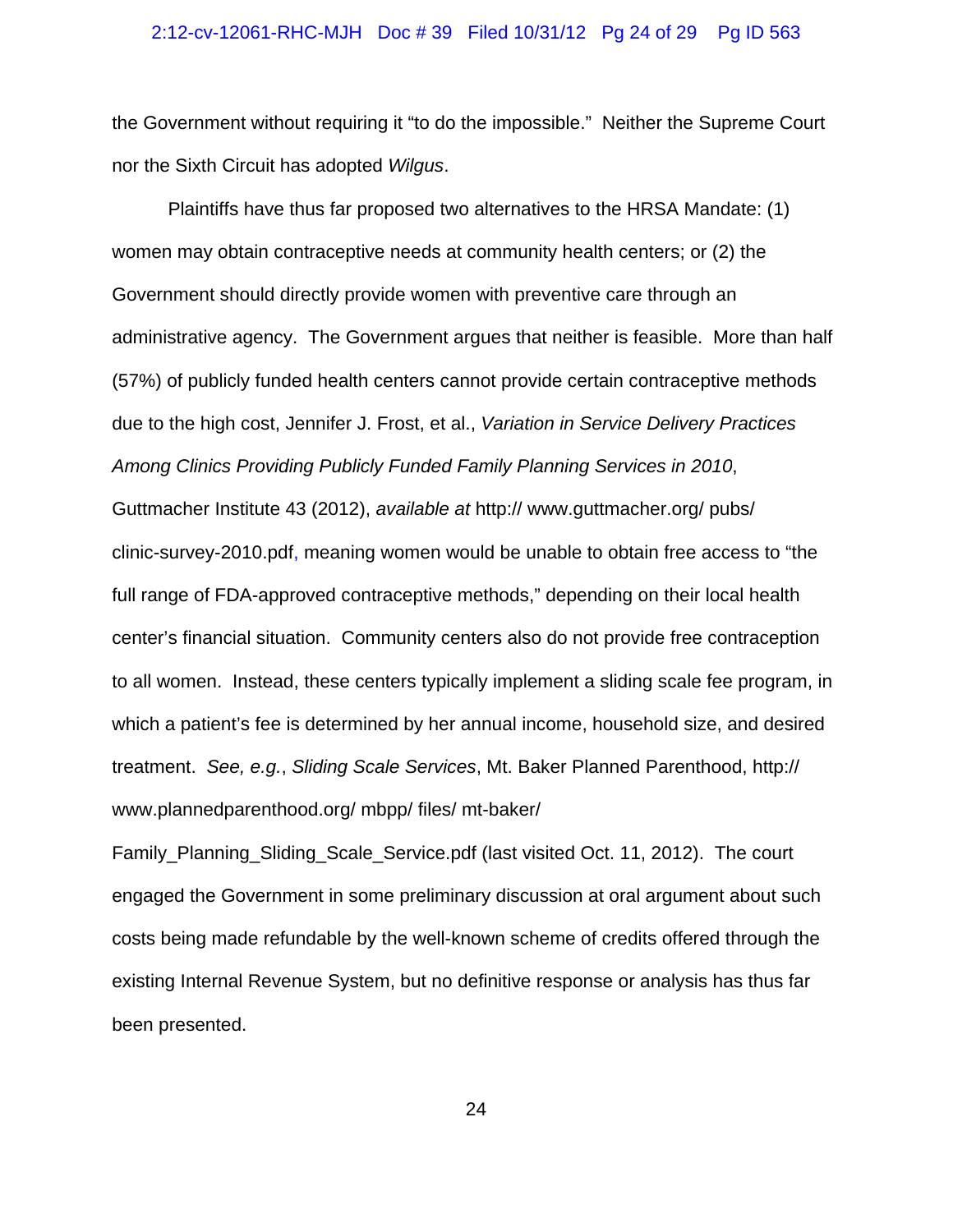#### 2:12-cv-12061-RHC-MJH Doc # 39 Filed 10/31/12 Pg 24 of 29 Pg ID 563

the Government without requiring it "to do the impossible." Neither the Supreme Court nor the Sixth Circuit has adopted *Wilgus*.

Plaintiffs have thus far proposed two alternatives to the HRSA Mandate: (1) women may obtain contraceptive needs at community health centers; or (2) the Government should directly provide women with preventive care through an administrative agency. The Government argues that neither is feasible. More than half (57%) of publicly funded health centers cannot provide certain contraceptive methods due to the high cost, Jennifer J. Frost, et al., *Variation in Service Delivery Practices Among Clinics Providing Publicly Funded Family Planning Services in 2010*, Guttmacher Institute 43 (2012), *available at* http:// www.guttmacher.org/ pubs/ clinic-survey-2010.pdf, meaning women would be unable to obtain free access to "the full range of FDA-approved contraceptive methods," depending on their local health center's financial situation. Community centers also do not provide free contraception to all women. Instead, these centers typically implement a sliding scale fee program, in which a patient's fee is determined by her annual income, household size, and desired treatment. *See, e.g.*, *Sliding Scale Services*, Mt. Baker Planned Parenthood, http:// www.plannedparenthood.org/ mbpp/ files/ mt-baker/

Family\_Planning\_Sliding\_Scale\_Service.pdf (last visited Oct. 11, 2012). The court engaged the Government in some preliminary discussion at oral argument about such costs being made refundable by the well-known scheme of credits offered through the existing Internal Revenue System, but no definitive response or analysis has thus far been presented.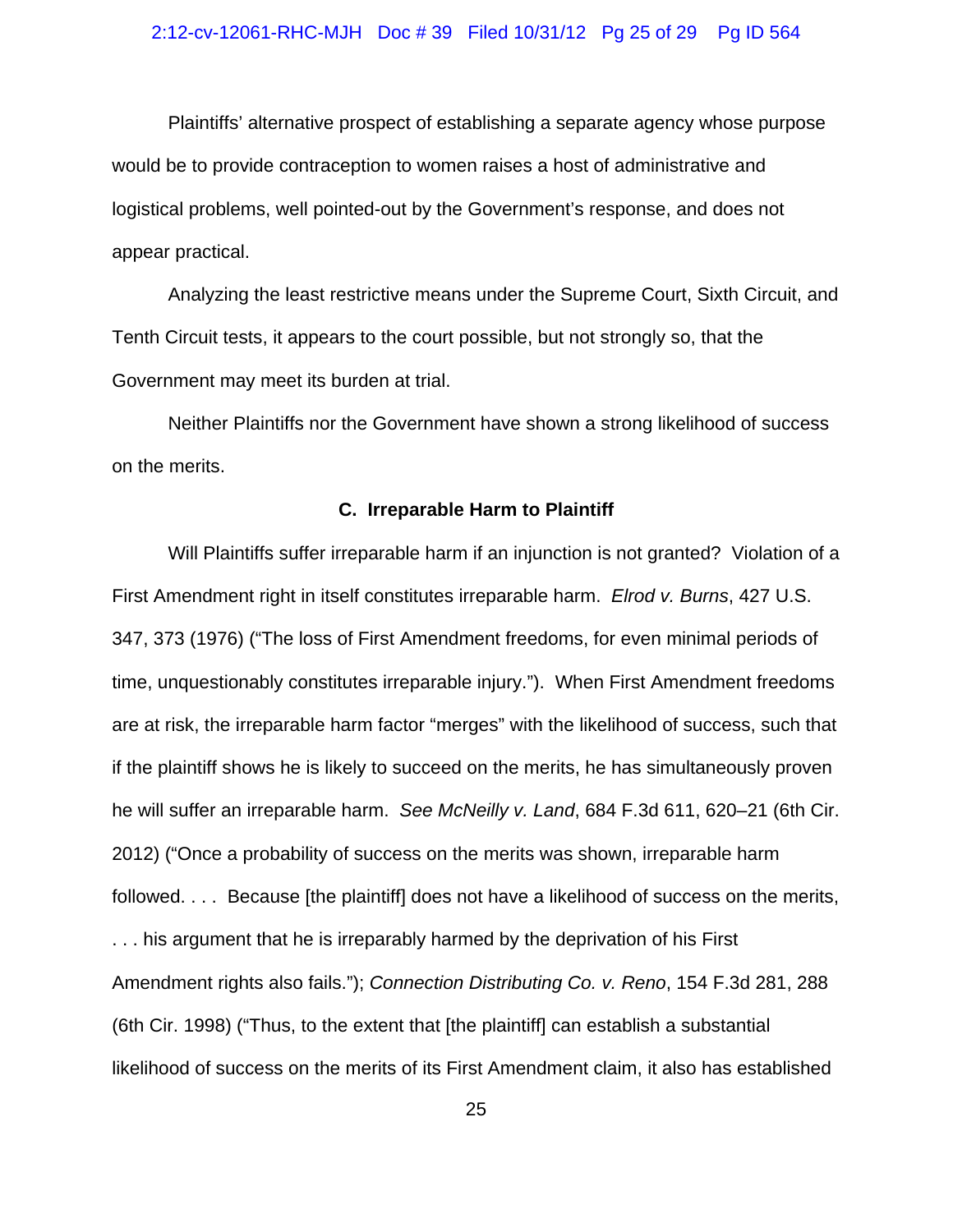#### 2:12-cv-12061-RHC-MJH Doc # 39 Filed 10/31/12 Pg 25 of 29 Pg ID 564

Plaintiffs' alternative prospect of establishing a separate agency whose purpose would be to provide contraception to women raises a host of administrative and logistical problems, well pointed-out by the Government's response, and does not appear practical.

Analyzing the least restrictive means under the Supreme Court, Sixth Circuit, and Tenth Circuit tests, it appears to the court possible, but not strongly so, that the Government may meet its burden at trial.

Neither Plaintiffs nor the Government have shown a strong likelihood of success on the merits.

#### **C. Irreparable Harm to Plaintiff**

Will Plaintiffs suffer irreparable harm if an injunction is not granted? Violation of a First Amendment right in itself constitutes irreparable harm. *Elrod v. Burns*, 427 U.S. 347, 373 (1976) ("The loss of First Amendment freedoms, for even minimal periods of time, unquestionably constitutes irreparable injury."). When First Amendment freedoms are at risk, the irreparable harm factor "merges" with the likelihood of success, such that if the plaintiff shows he is likely to succeed on the merits, he has simultaneously proven he will suffer an irreparable harm. *See McNeilly v. Land*, 684 F.3d 611, 620–21 (6th Cir. 2012) ("Once a probability of success on the merits was shown, irreparable harm followed. . . . Because [the plaintiff] does not have a likelihood of success on the merits, . . . his argument that he is irreparably harmed by the deprivation of his First Amendment rights also fails."); *Connection Distributing Co. v. Reno*, 154 F.3d 281, 288 (6th Cir. 1998) ("Thus, to the extent that [the plaintiff] can establish a substantial likelihood of success on the merits of its First Amendment claim, it also has established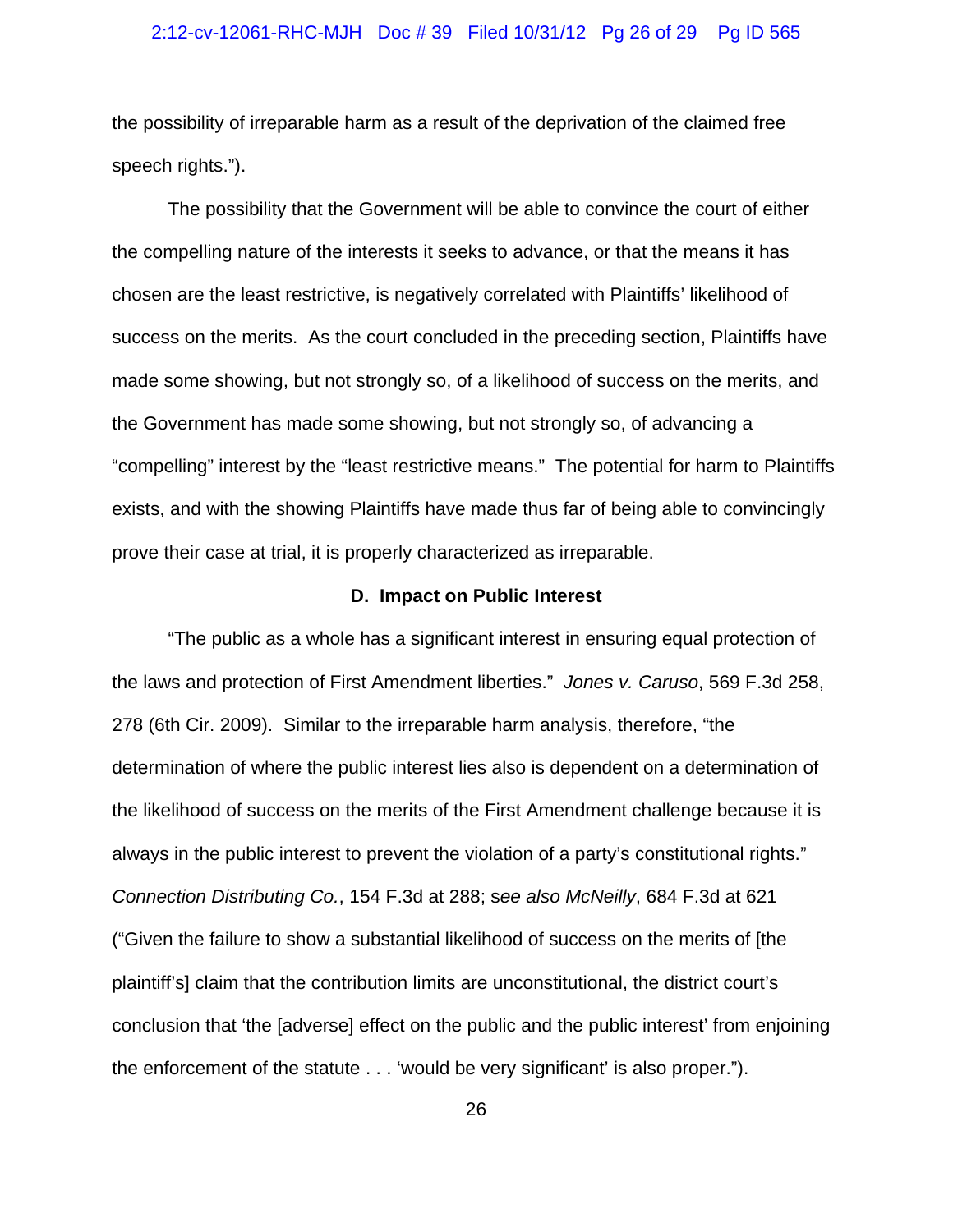#### 2:12-cv-12061-RHC-MJH Doc # 39 Filed 10/31/12 Pg 26 of 29 Pg ID 565

the possibility of irreparable harm as a result of the deprivation of the claimed free speech rights.").

The possibility that the Government will be able to convince the court of either the compelling nature of the interests it seeks to advance, or that the means it has chosen are the least restrictive, is negatively correlated with Plaintiffs' likelihood of success on the merits. As the court concluded in the preceding section, Plaintiffs have made some showing, but not strongly so, of a likelihood of success on the merits, and the Government has made some showing, but not strongly so, of advancing a "compelling" interest by the "least restrictive means." The potential for harm to Plaintiffs exists, and with the showing Plaintiffs have made thus far of being able to convincingly prove their case at trial, it is properly characterized as irreparable.

#### **D. Impact on Public Interest**

"The public as a whole has a significant interest in ensuring equal protection of the laws and protection of First Amendment liberties." *Jones v. Caruso*, 569 F.3d 258, 278 (6th Cir. 2009). Similar to the irreparable harm analysis, therefore, "the determination of where the public interest lies also is dependent on a determination of the likelihood of success on the merits of the First Amendment challenge because it is always in the public interest to prevent the violation of a party's constitutional rights." *Connection Distributing Co.*, 154 F.3d at 288; s*ee also McNeilly*, 684 F.3d at 621 ("Given the failure to show a substantial likelihood of success on the merits of [the plaintiff's] claim that the contribution limits are unconstitutional, the district court's conclusion that 'the [adverse] effect on the public and the public interest' from enjoining the enforcement of the statute . . . 'would be very significant' is also proper.").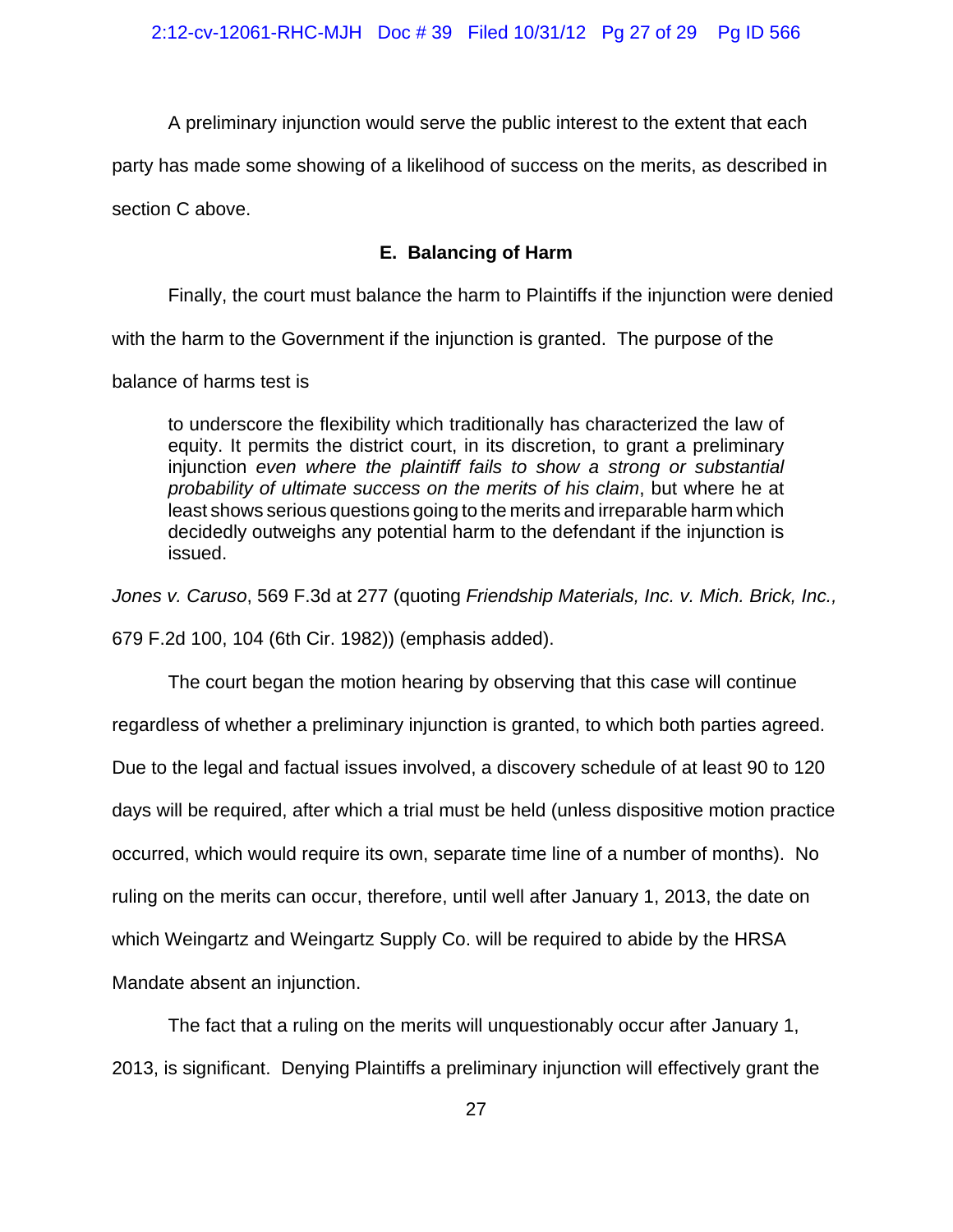A preliminary injunction would serve the public interest to the extent that each

party has made some showing of a likelihood of success on the merits, as described in

section C above.

# **E. Balancing of Harm**

Finally, the court must balance the harm to Plaintiffs if the injunction were denied

with the harm to the Government if the injunction is granted. The purpose of the

balance of harms test is

to underscore the flexibility which traditionally has characterized the law of equity. It permits the district court, in its discretion, to grant a preliminary injunction *even where the plaintiff fails to show a strong or substantial probability of ultimate success on the merits of his claim*, but where he at least shows serious questions going to the merits and irreparable harm which decidedly outweighs any potential harm to the defendant if the injunction is issued.

*Jones v. Caruso*, 569 F.3d at 277 (quoting *Friendship Materials, Inc. v. Mich. Brick, Inc.,* 679 F.2d 100, 104 (6th Cir. 1982)) (emphasis added).

The court began the motion hearing by observing that this case will continue regardless of whether a preliminary injunction is granted, to which both parties agreed. Due to the legal and factual issues involved, a discovery schedule of at least 90 to 120 days will be required, after which a trial must be held (unless dispositive motion practice occurred, which would require its own, separate time line of a number of months). No ruling on the merits can occur, therefore, until well after January 1, 2013, the date on which Weingartz and Weingartz Supply Co. will be required to abide by the HRSA Mandate absent an injunction.

The fact that a ruling on the merits will unquestionably occur after January 1, 2013, is significant. Denying Plaintiffs a preliminary injunction will effectively grant the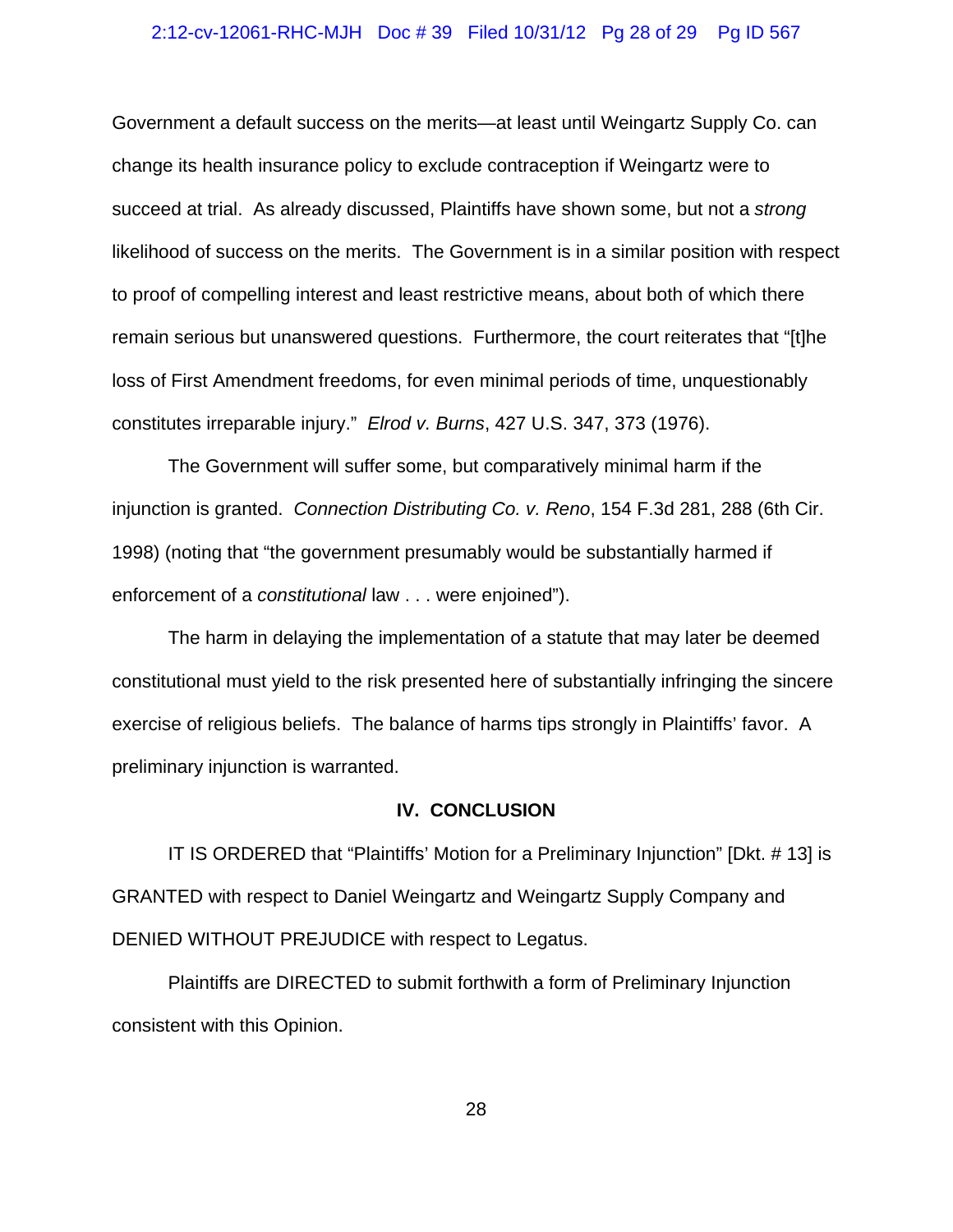#### 2:12-cv-12061-RHC-MJH Doc # 39 Filed 10/31/12 Pg 28 of 29 Pg ID 567

Government a default success on the merits—at least until Weingartz Supply Co. can change its health insurance policy to exclude contraception if Weingartz were to succeed at trial. As already discussed, Plaintiffs have shown some, but not a *strong* likelihood of success on the merits. The Government is in a similar position with respect to proof of compelling interest and least restrictive means, about both of which there remain serious but unanswered questions. Furthermore, the court reiterates that "[t]he loss of First Amendment freedoms, for even minimal periods of time, unquestionably constitutes irreparable injury." *Elrod v. Burns*, 427 U.S. 347, 373 (1976).

The Government will suffer some, but comparatively minimal harm if the injunction is granted. *Connection Distributing Co. v. Reno*, 154 F.3d 281, 288 (6th Cir. 1998) (noting that "the government presumably would be substantially harmed if enforcement of a *constitutional* law . . . were enjoined").

The harm in delaying the implementation of a statute that may later be deemed constitutional must yield to the risk presented here of substantially infringing the sincere exercise of religious beliefs. The balance of harms tips strongly in Plaintiffs' favor. A preliminary injunction is warranted.

#### **IV. CONCLUSION**

IT IS ORDERED that "Plaintiffs' Motion for a Preliminary Injunction" [Dkt. # 13] is GRANTED with respect to Daniel Weingartz and Weingartz Supply Company and DENIED WITHOUT PREJUDICE with respect to Legatus.

Plaintiffs are DIRECTED to submit forthwith a form of Preliminary Injunction consistent with this Opinion.